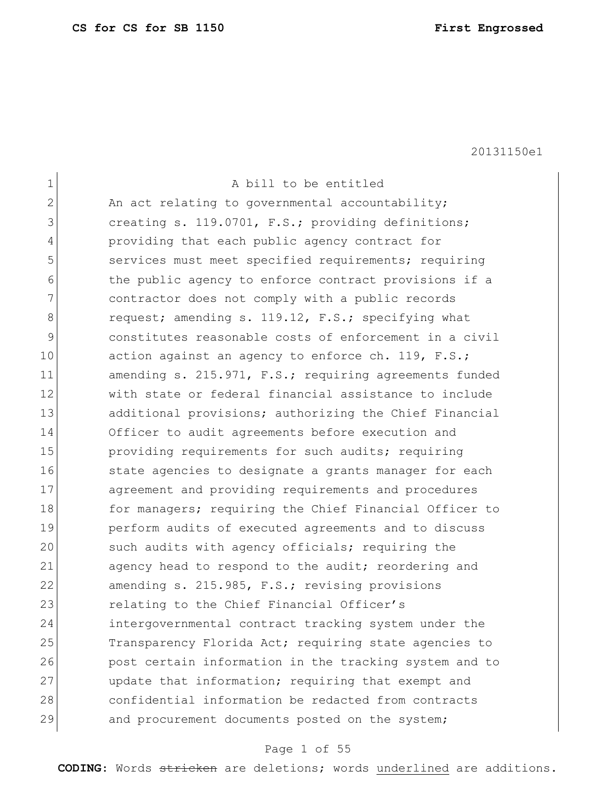| $\mathbf 1$  | A bill to be entitled                                  |
|--------------|--------------------------------------------------------|
| $\mathbf{2}$ | An act relating to governmental accountability;        |
| 3            | creating s. 119.0701, F.S.; providing definitions;     |
| 4            | providing that each public agency contract for         |
| 5            | services must meet specified requirements; requiring   |
| 6            | the public agency to enforce contract provisions if a  |
| 7            | contractor does not comply with a public records       |
| 8            | request; amending s. 119.12, F.S.; specifying what     |
| 9            | constitutes reasonable costs of enforcement in a civil |
| 10           | action against an agency to enforce ch. 119, F.S.;     |
| 11           | amending s. 215.971, F.S.; requiring agreements funded |
| 12           | with state or federal financial assistance to include  |
| 13           | additional provisions; authorizing the Chief Financial |
| 14           | Officer to audit agreements before execution and       |
| 15           | providing requirements for such audits; requiring      |
| 16           | state agencies to designate a grants manager for each  |
| 17           | agreement and providing requirements and procedures    |
| 18           | for managers; requiring the Chief Financial Officer to |
| 19           | perform audits of executed agreements and to discuss   |
| 20           | such audits with agency officials; requiring the       |
| 21           | agency head to respond to the audit; reordering and    |
| 22           | amending s. 215.985, F.S.; revising provisions         |
| 23           | relating to the Chief Financial Officer's              |
| 24           | intergovernmental contract tracking system under the   |
| 25           | Transparency Florida Act; requiring state agencies to  |
| 26           | post certain information in the tracking system and to |
| 27           | update that information; requiring that exempt and     |
| 28           | confidential information be redacted from contracts    |
| 29           | and procurement documents posted on the system;        |

# Page 1 of 55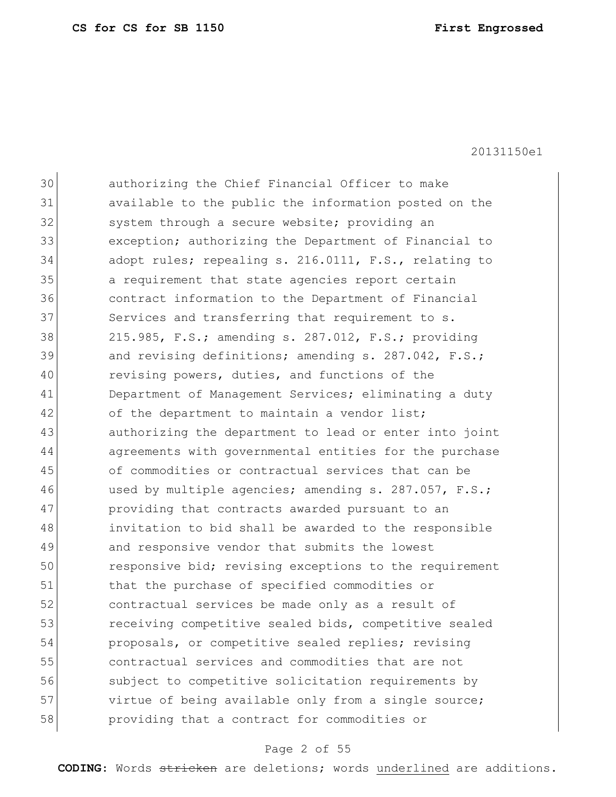| 30 | authorizing the Chief Financial Officer to make        |
|----|--------------------------------------------------------|
| 31 | available to the public the information posted on the  |
| 32 | system through a secure website; providing an          |
| 33 | exception; authorizing the Department of Financial to  |
| 34 | adopt rules; repealing s. 216.0111, F.S., relating to  |
| 35 | a requirement that state agencies report certain       |
| 36 | contract information to the Department of Financial    |
| 37 | Services and transferring that requirement to s.       |
| 38 | 215.985, F.S.; amending s. 287.012, F.S.; providing    |
| 39 | and revising definitions; amending s. 287.042, F.S.;   |
| 40 | revising powers, duties, and functions of the          |
| 41 | Department of Management Services; eliminating a duty  |
| 42 | of the department to maintain a vendor list;           |
| 43 | authorizing the department to lead or enter into joint |
| 44 | agreements with governmental entities for the purchase |
| 45 | of commodities or contractual services that can be     |
| 46 | used by multiple agencies; amending s. 287.057, F.S.;  |
| 47 | providing that contracts awarded pursuant to an        |
| 48 | invitation to bid shall be awarded to the responsible  |
| 49 | and responsive vendor that submits the lowest          |
| 50 | responsive bid; revising exceptions to the requirement |
| 51 | that the purchase of specified commodities or          |
| 52 | contractual services be made only as a result of       |
| 53 | receiving competitive sealed bids, competitive sealed  |
| 54 | proposals, or competitive sealed replies; revising     |
| 55 | contractual services and commodities that are not      |
| 56 | subject to competitive solicitation requirements by    |
| 57 | virtue of being available only from a single source;   |
| 58 | providing that a contract for commodities or           |
|    |                                                        |

# Page 2 of 55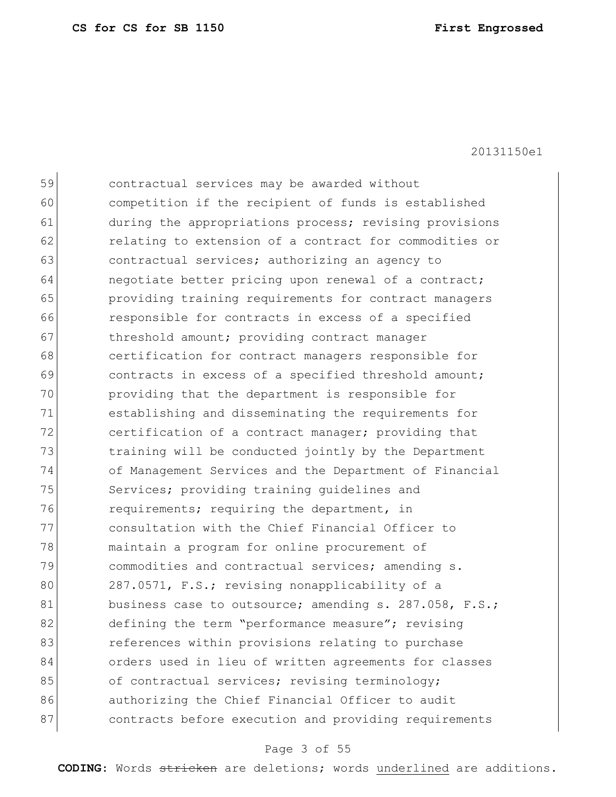| 59 | contractual services may be awarded without            |
|----|--------------------------------------------------------|
| 60 | competition if the recipient of funds is established   |
| 61 | during the appropriations process; revising provisions |
| 62 | relating to extension of a contract for commodities or |
| 63 | contractual services; authorizing an agency to         |
| 64 | negotiate better pricing upon renewal of a contract;   |
| 65 | providing training requirements for contract managers  |
| 66 | responsible for contracts in excess of a specified     |
| 67 | threshold amount; providing contract manager           |
| 68 | certification for contract managers responsible for    |
| 69 | contracts in excess of a specified threshold amount;   |
| 70 | providing that the department is responsible for       |
| 71 | establishing and disseminating the requirements for    |
| 72 | certification of a contract manager; providing that    |
| 73 | training will be conducted jointly by the Department   |
| 74 | of Management Services and the Department of Financial |
| 75 | Services; providing training quidelines and            |
| 76 | requirements; requiring the department, in             |
| 77 | consultation with the Chief Financial Officer to       |
| 78 | maintain a program for online procurement of           |
| 79 | commodities and contractual services; amending s.      |
| 80 | 287.0571, F.S.; revising nonapplicability of a         |
| 81 | business case to outsource; amending s. 287.058, F.S.; |
| 82 | defining the term "performance measure"; revising      |
| 83 | references within provisions relating to purchase      |
| 84 | orders used in lieu of written agreements for classes  |
| 85 | of contractual services; revising terminology;         |
| 86 | authorizing the Chief Financial Officer to audit       |
| 87 | contracts before execution and providing requirements  |
|    |                                                        |

# Page 3 of 55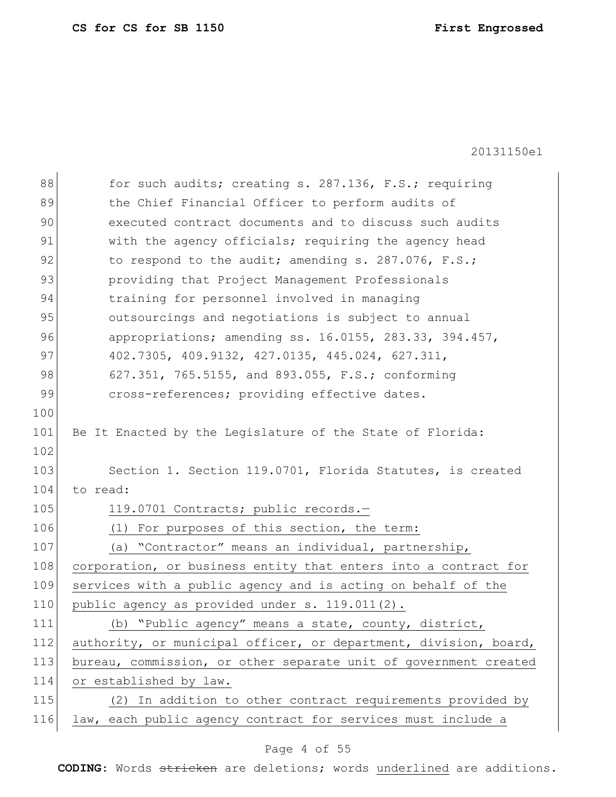| 88<br>for such audits; creating s. 287.136, F.S.; requiring             |
|-------------------------------------------------------------------------|
| 89<br>the Chief Financial Officer to perform audits of                  |
| 90<br>executed contract documents and to discuss such audits            |
| with the agency officials; requiring the agency head                    |
| 92<br>to respond to the audit; amending s. 287.076, F.S.;               |
| 93<br>providing that Project Management Professionals                   |
| 94<br>training for personnel involved in managing                       |
| 95<br>outsourcings and negotiations is subject to annual                |
| 96<br>appropriations; amending ss. $16.0155$ , $283.33$ , $394.457$ ,   |
| 97<br>402.7305, 409.9132, 427.0135, 445.024, 627.311,                   |
| 98<br>627.351, 765.5155, and 893.055, F.S.; conforming                  |
| 99<br>cross-references; providing effective dates.                      |
| 100                                                                     |
| 101<br>Be It Enacted by the Legislature of the State of Florida:        |
| 102                                                                     |
| 103<br>Section 1. Section 119.0701, Florida Statutes, is created        |
| 104<br>to read:                                                         |
| 105<br>119.0701 Contracts; public records.-                             |
| 106<br>(1) For purposes of this section, the term:                      |
| 107<br>(a) "Contractor" means an individual, partnership,               |
|                                                                         |
| 108<br>corporation, or business entity that enters into a contract for  |
| 109<br>services with a public agency and is acting on behalf of the     |
| public agency as provided under s. 119.011(2).<br>110                   |
| 111<br>(b) "Public agency" means a state, county, district,             |
| 112<br>authority, or municipal officer, or department, division, board, |
| 113<br>bureau, commission, or other separate unit of government created |
| 114<br>or established by law.                                           |
| 115<br>(2) In addition to other contract requirements provided by       |
|                                                                         |

# Page 4 of 55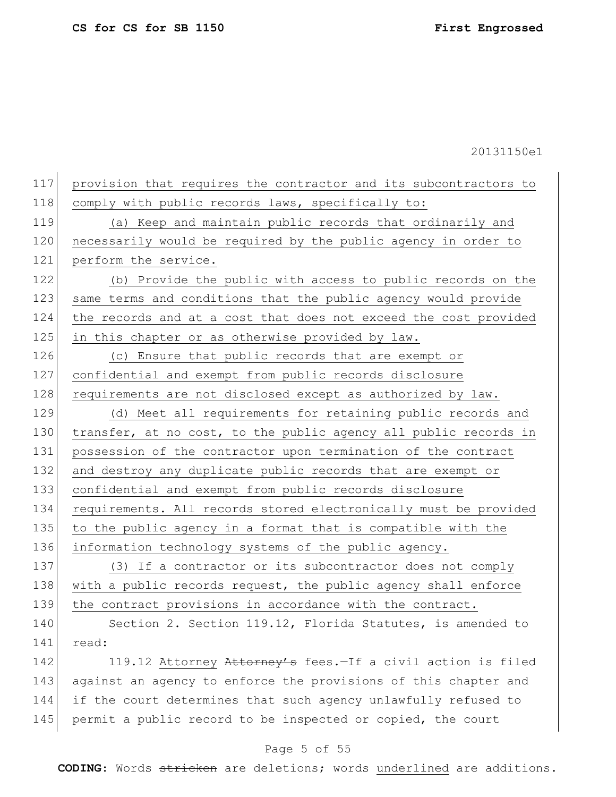provision that requires the contractor and its subcontractors to 118 comply with public records laws, specifically to: (a) Keep and maintain public records that ordinarily and necessarily would be required by the public agency in order to 121 perform the service. (b) Provide the public with access to public records on the 123 same terms and conditions that the public agency would provide the records and at a cost that does not exceed the cost provided 125 in this chapter or as otherwise provided by law. (c) Ensure that public records that are exempt or confidential and exempt from public records disclosure 128 requirements are not disclosed except as authorized by law. (d) Meet all requirements for retaining public records and

130 transfer, at no cost, to the public agency all public records in 131 possession of the contractor upon termination of the contract 132 and destroy any duplicate public records that are exempt or 133 confidential and exempt from public records disclosure 134 requirements. All records stored electronically must be provided 135 to the public agency in a format that is compatible with the 136 information technology systems of the public agency.

137 (3) If a contractor or its subcontractor does not comply 138 with a public records request, the public agency shall enforce 139 the contract provisions in accordance with the contract.

140 Section 2. Section 119.12, Florida Statutes, is amended to 141 read:

142 119.12 Attorney Attorney's fees.-If a civil action is filed 143 against an agency to enforce the provisions of this chapter and 144 if the court determines that such agency unlawfully refused to 145 permit a public record to be inspected or copied, the court

# Page 5 of 55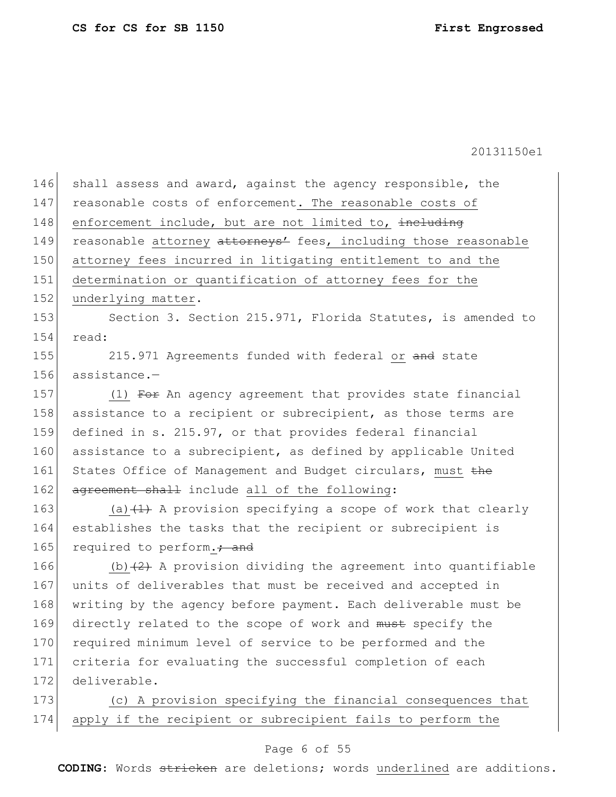| 146 | shall assess and award, against the agency responsible, the                 |
|-----|-----------------------------------------------------------------------------|
| 147 | reasonable costs of enforcement. The reasonable costs of                    |
| 148 | enforcement include, but are not limited to, including                      |
| 149 | reasonable attorney attorneys <sup>1</sup> fees, including those reasonable |
| 150 | attorney fees incurred in litigating entitlement to and the                 |
| 151 | determination or quantification of attorney fees for the                    |
| 152 | underlying matter.                                                          |
| 153 | Section 3. Section 215.971, Florida Statutes, is amended to                 |
| 154 | read:                                                                       |
| 155 | 215.971 Agreements funded with federal or and state                         |
| 156 | assistance.-                                                                |
| 157 | (1) For An agency agreement that provides state financial                   |
| 158 | assistance to a recipient or subrecipient, as those terms are               |
| 159 | defined in s. 215.97, or that provides federal financial                    |
| 160 | assistance to a subrecipient, as defined by applicable United               |
| 161 | States Office of Management and Budget circulars, must the                  |
| 162 | agreement shall include all of the following:                               |
| 163 | (a) $(1)$ A provision specifying a scope of work that clearly               |
| 164 | establishes the tasks that the recipient or subrecipient is                 |
| 165 | required to perform.: and                                                   |
| 166 | (b) $(2)$ A provision dividing the agreement into quantifiable              |
| 167 | units of deliverables that must be received and accepted in                 |
| 168 | writing by the agency before payment. Each deliverable must be              |
| 169 | directly related to the scope of work and must specify the                  |
| 170 | required minimum level of service to be performed and the                   |
| 171 | criteria for evaluating the successful completion of each                   |
| 172 | deliverable.                                                                |
| 173 | (c) A provision specifying the financial consequences that                  |
| 174 | apply if the recipient or subrecipient fails to perform the                 |
|     |                                                                             |

# Page 6 of 55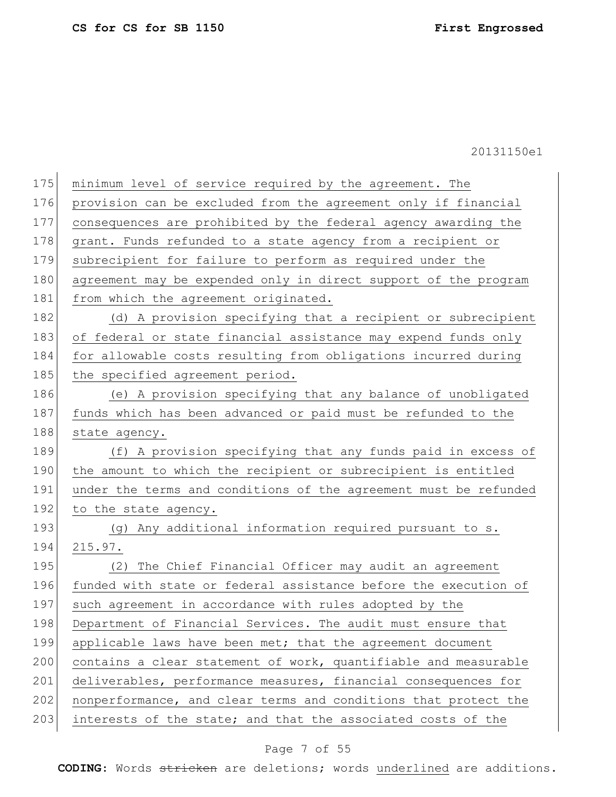| 175 | minimum level of service required by the agreement. The          |
|-----|------------------------------------------------------------------|
| 176 | provision can be excluded from the agreement only if financial   |
| 177 | consequences are prohibited by the federal agency awarding the   |
| 178 | grant. Funds refunded to a state agency from a recipient or      |
| 179 | subrecipient for failure to perform as required under the        |
| 180 | agreement may be expended only in direct support of the program  |
| 181 | from which the agreement originated.                             |
| 182 | (d) A provision specifying that a recipient or subrecipient      |
| 183 | of federal or state financial assistance may expend funds only   |
| 184 | for allowable costs resulting from obligations incurred during   |
| 185 | the specified agreement period.                                  |
| 186 | (e) A provision specifying that any balance of unobligated       |
| 187 | funds which has been advanced or paid must be refunded to the    |
| 188 | state agency.                                                    |
| 189 | (f) A provision specifying that any funds paid in excess of      |
| 190 | the amount to which the recipient or subrecipient is entitled    |
| 191 | under the terms and conditions of the agreement must be refunded |
| 192 | to the state agency.                                             |
| 193 | (g) Any additional information required pursuant to s.           |
| 194 | 215.97.                                                          |
| 195 | (2) The Chief Financial Officer may audit an agreement           |
| 196 | funded with state or federal assistance before the execution of  |
| 197 | such agreement in accordance with rules adopted by the           |
| 198 | Department of Financial Services. The audit must ensure that     |
| 199 | applicable laws have been met; that the agreement document       |
| 200 | contains a clear statement of work, quantifiable and measurable  |
| 201 | deliverables, performance measures, financial consequences for   |
| 202 | nonperformance, and clear terms and conditions that protect the  |
| 203 | interests of the state; and that the associated costs of the     |

# Page 7 of 55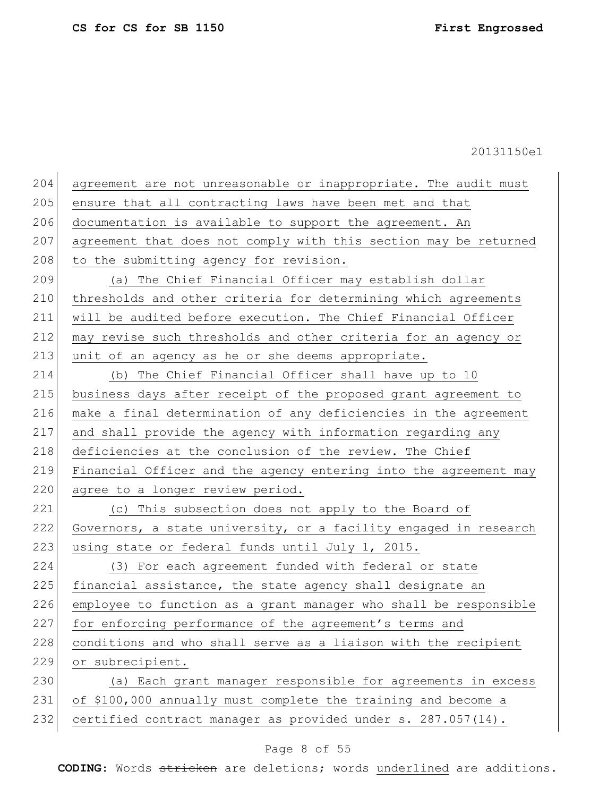| 204 | agreement are not unreasonable or inappropriate. The audit must  |
|-----|------------------------------------------------------------------|
| 205 | ensure that all contracting laws have been met and that          |
| 206 | documentation is available to support the agreement. An          |
| 207 | agreement that does not comply with this section may be returned |
| 208 | to the submitting agency for revision.                           |
| 209 | (a) The Chief Financial Officer may establish dollar             |
| 210 | thresholds and other criteria for determining which agreements   |
| 211 | will be audited before execution. The Chief Financial Officer    |
| 212 | may revise such thresholds and other criteria for an agency or   |
| 213 | unit of an agency as he or she deems appropriate.                |
| 214 | (b) The Chief Financial Officer shall have up to 10              |
| 215 | business days after receipt of the proposed grant agreement to   |
| 216 | make a final determination of any deficiencies in the agreement  |
| 217 | and shall provide the agency with information regarding any      |
| 218 | deficiencies at the conclusion of the review. The Chief          |
| 219 | Financial Officer and the agency entering into the agreement may |
| 220 | agree to a longer review period.                                 |
| 221 | (c) This subsection does not apply to the Board of               |
| 222 | Governors, a state university, or a facility engaged in research |
| 223 | using state or federal funds until July 1, 2015.                 |
| 224 | (3) For each agreement funded with federal or state              |
| 225 | financial assistance, the state agency shall designate an        |
| 226 | employee to function as a grant manager who shall be responsible |
| 227 | for enforcing performance of the agreement's terms and           |
| 228 | conditions and who shall serve as a liaison with the recipient   |
| 229 | or subrecipient.                                                 |
| 230 | (a) Each grant manager responsible for agreements in excess      |
| 231 | of \$100,000 annually must complete the training and become a    |
| 232 | certified contract manager as provided under s. 287.057(14).     |

# Page 8 of 55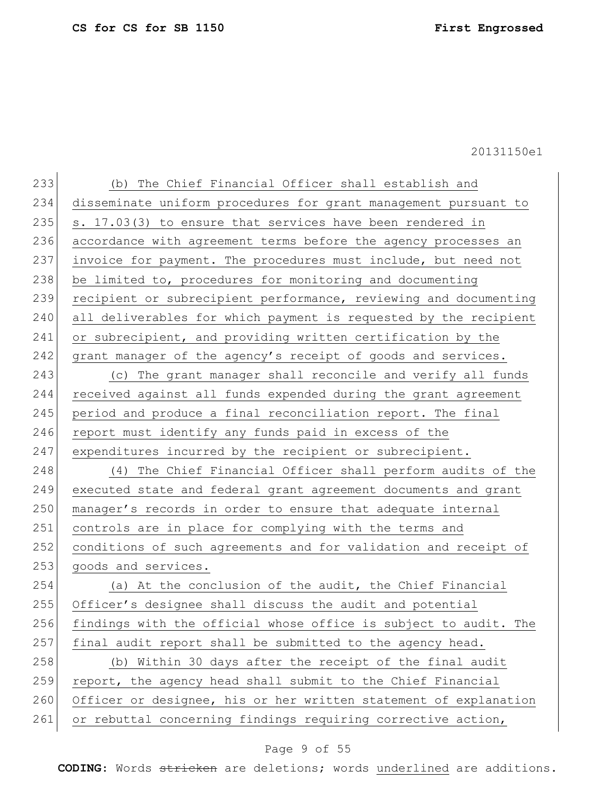| 233 | (b) The Chief Financial Officer shall establish and              |
|-----|------------------------------------------------------------------|
| 234 | disseminate uniform procedures for grant management pursuant to  |
| 235 | s. 17.03(3) to ensure that services have been rendered in        |
| 236 | accordance with agreement terms before the agency processes an   |
| 237 | invoice for payment. The procedures must include, but need not   |
| 238 | be limited to, procedures for monitoring and documenting         |
| 239 | recipient or subrecipient performance, reviewing and documenting |
| 240 | all deliverables for which payment is requested by the recipient |
| 241 | or subrecipient, and providing written certification by the      |
| 242 | grant manager of the agency's receipt of goods and services.     |
| 243 | (c) The grant manager shall reconcile and verify all funds       |
| 244 | received against all funds expended during the grant agreement   |
| 245 | period and produce a final reconciliation report. The final      |
| 246 | report must identify any funds paid in excess of the             |
| 247 | expenditures incurred by the recipient or subrecipient.          |
| 248 | (4) The Chief Financial Officer shall perform audits of the      |
| 249 | executed state and federal grant agreement documents and grant   |
| 250 | manager's records in order to ensure that adequate internal      |
| 251 | controls are in place for complying with the terms and           |
| 252 | conditions of such agreements and for validation and receipt of  |
| 253 | goods and services.                                              |
| 254 | (a) At the conclusion of the audit, the Chief Financial          |
| 255 | Officer's designee shall discuss the audit and potential         |
| 256 | findings with the official whose office is subject to audit. The |
| 257 | final audit report shall be submitted to the agency head.        |
| 258 | (b) Within 30 days after the receipt of the final audit          |
| 259 | report, the agency head shall submit to the Chief Financial      |
| 260 | Officer or designee, his or her written statement of explanation |
| 261 | or rebuttal concerning findings requiring corrective action,     |
|     |                                                                  |

# Page 9 of 55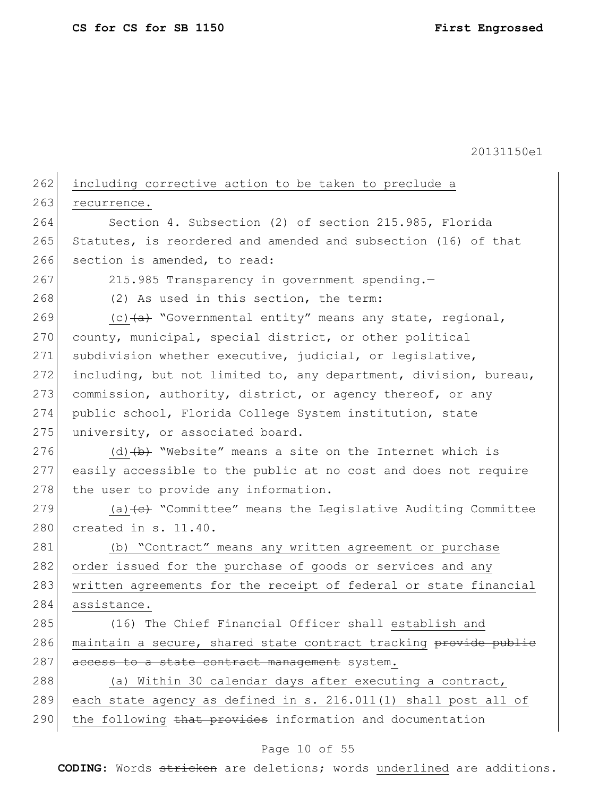| 262 | including corrective action to be taken to preclude a                              |
|-----|------------------------------------------------------------------------------------|
| 263 | recurrence.                                                                        |
| 264 | Section 4. Subsection (2) of section 215.985, Florida                              |
| 265 | Statutes, is reordered and amended and subsection (16) of that                     |
| 266 | section is amended, to read:                                                       |
| 267 | 215.985 Transparency in government spending.-                                      |
| 268 | (2) As used in this section, the term:                                             |
| 269 | (c) $(a)$ "Governmental entity" means any state, regional,                         |
| 270 | county, municipal, special district, or other political                            |
| 271 | subdivision whether executive, judicial, or legislative,                           |
| 272 | including, but not limited to, any department, division, bureau,                   |
| 273 | commission, authority, district, or agency thereof, or any                         |
| 274 | public school, Florida College System institution, state                           |
| 275 | university, or associated board.                                                   |
| 276 | (d) $(b)$ "Website" means a site on the Internet which is                          |
| 277 | easily accessible to the public at no cost and does not require                    |
| 278 | the user to provide any information.                                               |
| 279 | (a) $\left\{\epsilon\right\}$ "Committee" means the Legislative Auditing Committee |
| 280 | created in s. 11.40.                                                               |
| 281 | (b) "Contract" means any written agreement or purchase                             |
| 282 | order issued for the purchase of goods or services and any                         |
| 283 | written agreements for the receipt of federal or state financial                   |
| 284 | assistance.                                                                        |
| 285 | (16) The Chief Financial Officer shall establish and                               |
| 286 | maintain a secure, shared state contract tracking provide publie                   |
| 287 | access to a state contract management system.                                      |
| 288 | (a) Within 30 calendar days after executing a contract,                            |
| 289 | each state agency as defined in s. 216.011(1) shall post all of                    |
| 290 | the following that provides information and documentation                          |
|     |                                                                                    |

### Page 10 of 55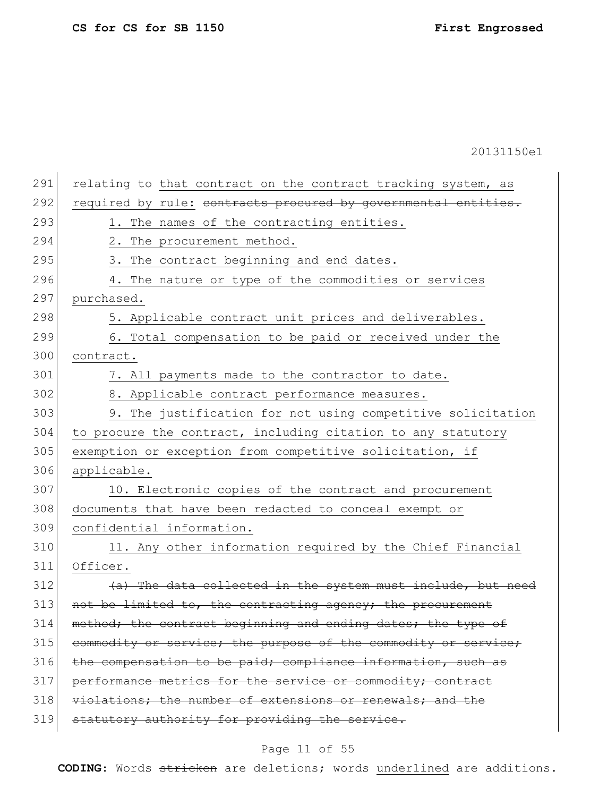291 relating to that contract on the contract tracking system, as 292 required by rule: contracts procured by governmental entities. 293 1. The names of the contracting entities. 294 2. The procurement method. 295 3. The contract beginning and end dates. 296 4. The nature or type of the commodities or services 297 purchased. 298 5. Applicable contract unit prices and deliverables. 299 6. Total compensation to be paid or received under the 300 contract. 301 7. All payments made to the contractor to date. 302 8. Applicable contract performance measures. 303 9. The justification for not using competitive solicitation 304 to procure the contract, including citation to any statutory 305 exemption or exception from competitive solicitation, if 306 applicable. 307 10. Electronic copies of the contract and procurement 308 documents that have been redacted to conceal exempt or 309 confidential information. 310 11. Any other information required by the Chief Financial 311 Officer.  $312$  (a) The data collected in the system must include, but need  $313$  not be limited to, the contracting agency; the procurement 314 method; the contract beginning and ending dates; the type of 315 commodity or service; the purpose of the commodity or service;  $316$  the compensation to be paid; compliance information, such as 317 performance metrics for the service or commodity; contract 318 violations; the number of extensions or renewals; and the 319 statutory authority for providing the service.

# Page 11 of 55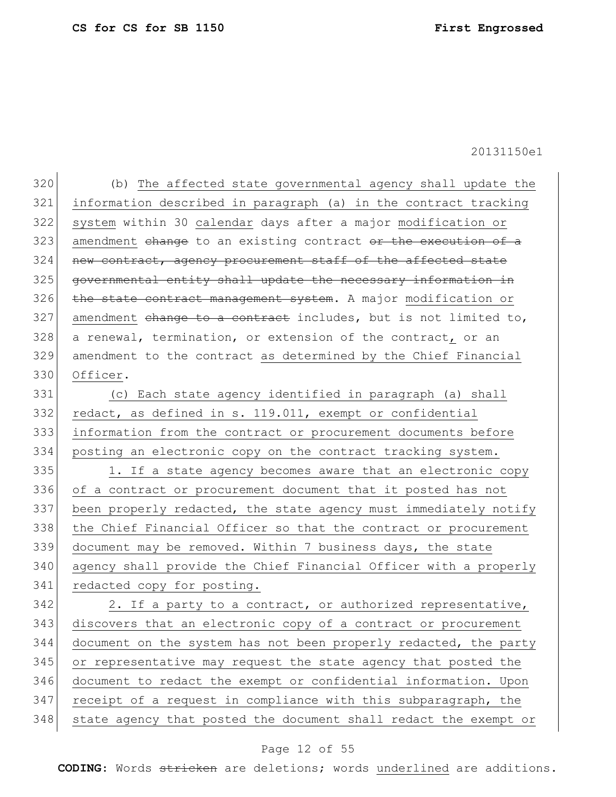320 (b) The affected state governmental agency shall update the 321 information described in paragraph (a) in the contract tracking 322 system within 30 calendar days after a major modification or 323 amendment change to an existing contract or the execution of a 324 new contract, agency procurement staff of the affected state 325 governmental entity shall update the necessary information in 326 the state contract management system. A major modification or  $327$  amendment change to a contract includes, but is not limited to,  $328$  a renewal, termination, or extension of the contract, or an 329 amendment to the contract as determined by the Chief Financial 330 Officer.

 (c) Each state agency identified in paragraph (a) shall 332 redact, as defined in s. 119.011, exempt or confidential information from the contract or procurement documents before posting an electronic copy on the contract tracking system.

335 1. If a state agency becomes aware that an electronic copy 336 of a contract or procurement document that it posted has not 337 been properly redacted, the state agency must immediately notify 338 | the Chief Financial Officer so that the contract or procurement 339 document may be removed. Within 7 business days, the state 340 agency shall provide the Chief Financial Officer with a properly 341 redacted copy for posting.

 2. If a party to a contract, or authorized representative, 343 discovers that an electronic copy of a contract or procurement document on the system has not been properly redacted, the party or representative may request the state agency that posted the document to redact the exempt or confidential information. Upon receipt of a request in compliance with this subparagraph, the 348 state agency that posted the document shall redact the exempt or

## Page 12 of 55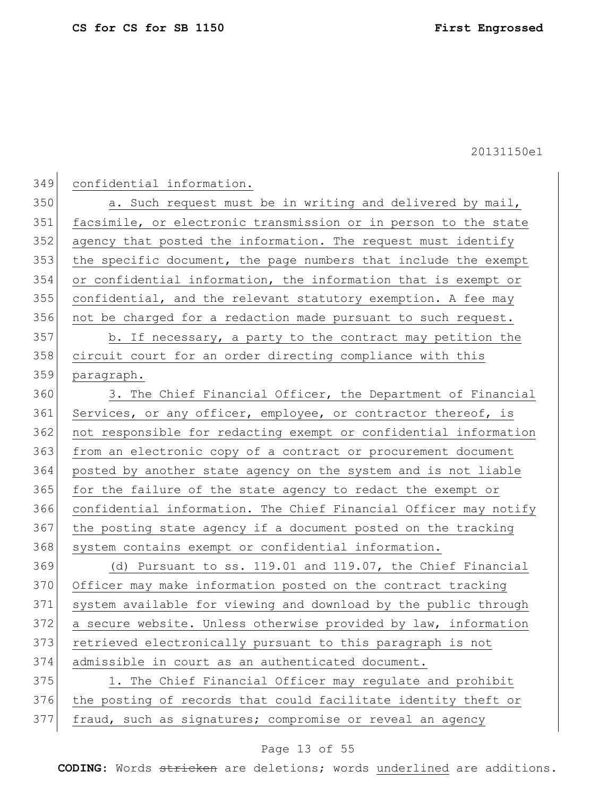|--|

350 a. Such request must be in writing and delivered by mail, facsimile, or electronic transmission or in person to the state agency that posted the information. The request must identify 353 the specific document, the page numbers that include the exempt or confidential information, the information that is exempt or confidential, and the relevant statutory exemption. A fee may not be charged for a redaction made pursuant to such request.

357 b. If necessary, a party to the contract may petition the 358 circuit court for an order directing compliance with this paragraph.

360 3. The Chief Financial Officer, the Department of Financial 361 Services, or any officer, employee, or contractor thereof, is not responsible for redacting exempt or confidential information from an electronic copy of a contract or procurement document posted by another state agency on the system and is not liable for the failure of the state agency to redact the exempt or confidential information. The Chief Financial Officer may notify the posting state agency if a document posted on the tracking 368 system contains exempt or confidential information.

 (d) Pursuant to ss. 119.01 and 119.07, the Chief Financial 370 Officer may make information posted on the contract tracking system available for viewing and download by the public through a secure website. Unless otherwise provided by law, information retrieved electronically pursuant to this paragraph is not admissible in court as an authenticated document.

375 1. The Chief Financial Officer may regulate and prohibit the posting of records that could facilitate identity theft or fraud, such as signatures; compromise or reveal an agency

# Page 13 of 55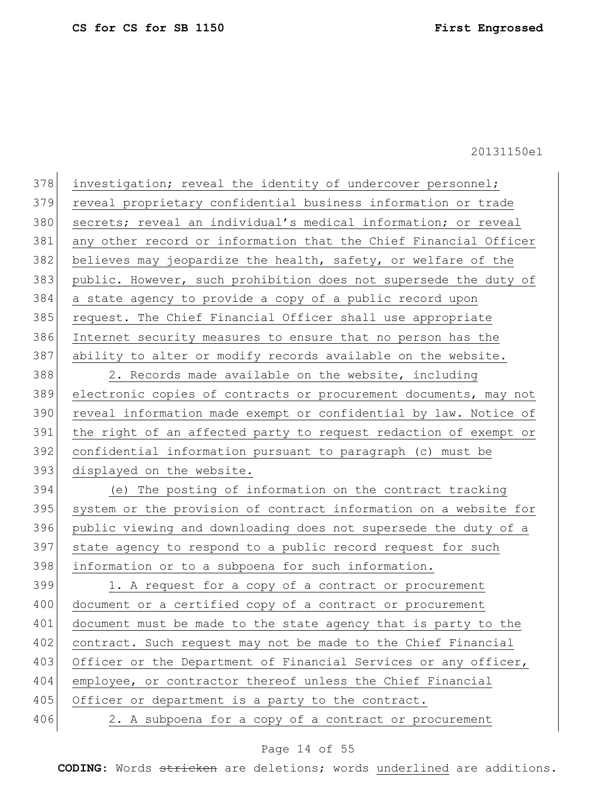| 378 | investigation; reveal the identity of undercover personnel;      |
|-----|------------------------------------------------------------------|
| 379 | reveal proprietary confidential business information or trade    |
| 380 | secrets; reveal an individual's medical information; or reveal   |
| 381 | any other record or information that the Chief Financial Officer |
| 382 | believes may jeopardize the health, safety, or welfare of the    |
| 383 | public. However, such prohibition does not supersede the duty of |
| 384 | a state agency to provide a copy of a public record upon         |
| 385 | request. The Chief Financial Officer shall use appropriate       |
| 386 | Internet security measures to ensure that no person has the      |
| 387 | ability to alter or modify records available on the website.     |
| 388 | 2. Records made available on the website, including              |
| 389 | electronic copies of contracts or procurement documents, may not |
| 390 | reveal information made exempt or confidential by law. Notice of |
| 391 | the right of an affected party to request redaction of exempt or |
| 392 | confidential information pursuant to paragraph (c) must be       |
| 393 | displayed on the website.                                        |
| 394 | (e) The posting of information on the contract tracking          |
| 395 | system or the provision of contract information on a website for |
| 396 | public viewing and downloading does not supersede the duty of a  |
| 397 | state agency to respond to a public record request for such      |
| 398 | information or to a subpoena for such information.               |
| 399 | 1. A request for a copy of a contract or procurement             |
| 400 | document or a certified copy of a contract or procurement        |
| 401 | document must be made to the state agency that is party to the   |
| 402 | contract. Such request may not be made to the Chief Financial    |
| 403 | Officer or the Department of Financial Services or any officer,  |
| 404 | employee, or contractor thereof unless the Chief Financial       |
| 405 | Officer or department is a party to the contract.                |
| 406 | 2. A subpoena for a copy of a contract or procurement            |
|     |                                                                  |

# Page 14 of 55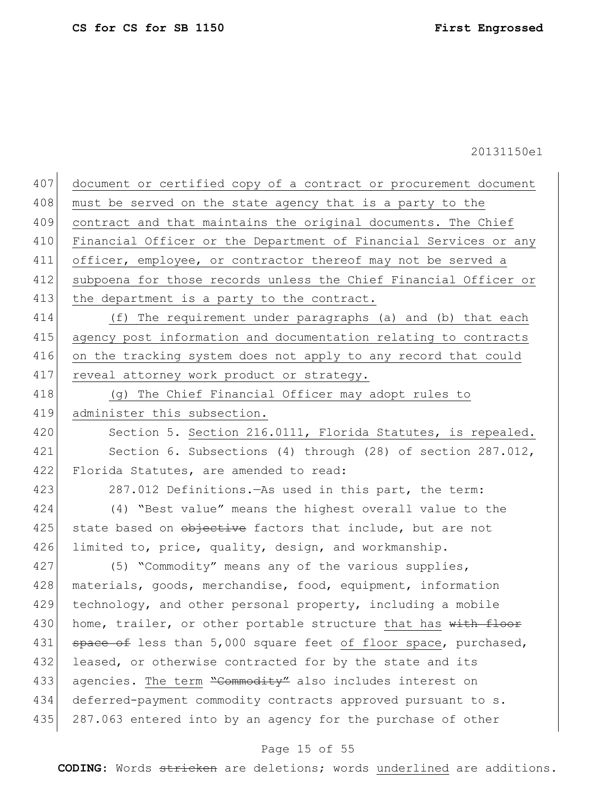| 407 | document or certified copy of a contract or procurement document |
|-----|------------------------------------------------------------------|
| 408 | must be served on the state agency that is a party to the        |
| 409 | contract and that maintains the original documents. The Chief    |
| 410 | Financial Officer or the Department of Financial Services or any |
| 411 | officer, employee, or contractor thereof may not be served a     |
| 412 | subpoena for those records unless the Chief Financial Officer or |
| 413 | the department is a party to the contract.                       |
| 414 | (f) The requirement under paragraphs (a) and (b) that each       |
| 415 | agency post information and documentation relating to contracts  |
| 416 | on the tracking system does not apply to any record that could   |
| 417 | reveal attorney work product or strategy.                        |
| 418 | (g) The Chief Financial Officer may adopt rules to               |
| 419 | administer this subsection.                                      |
| 420 | Section 5. Section 216.0111, Florida Statutes, is repealed.      |
| 421 | Section 6. Subsections (4) through (28) of section $287.012$ ,   |
| 422 | Florida Statutes, are amended to read:                           |
| 423 | 287.012 Definitions. As used in this part, the term:             |
| 424 | (4) "Best value" means the highest overall value to the          |
| 425 | state based on objective factors that include, but are not       |
| 426 | limited to, price, quality, design, and workmanship.             |
| 427 | (5) "Commodity" means any of the various supplies,               |
| 428 | materials, goods, merchandise, food, equipment, information      |
| 429 | technology, and other personal property, including a mobile      |
| 430 | home, trailer, or other portable structure that has with floor   |
| 431 | space of less than 5,000 square feet of floor space, purchased,  |
| 432 | leased, or otherwise contracted for by the state and its         |
| 433 | agencies. The term "Commodity" also includes interest on         |
| 434 | deferred-payment commodity contracts approved pursuant to s.     |
| 435 | 287.063 entered into by an agency for the purchase of other      |
|     |                                                                  |

# Page 15 of 55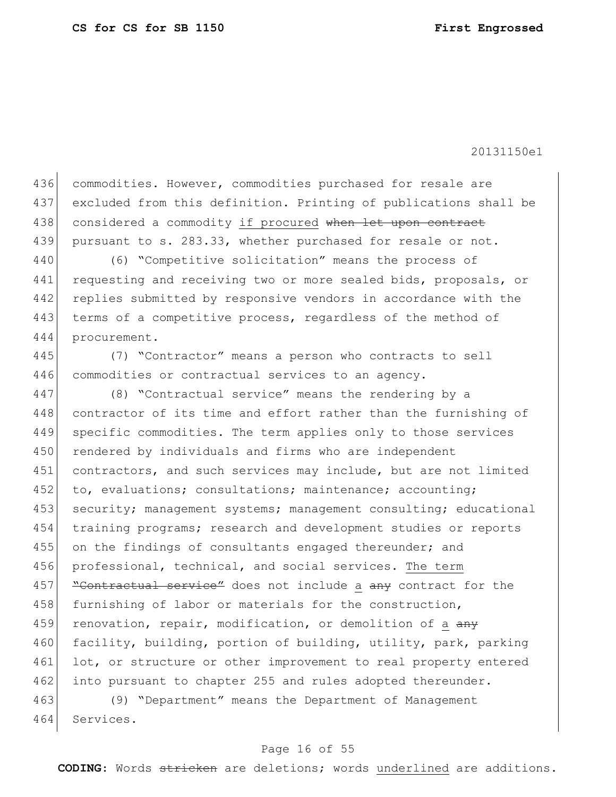436 commodities. However, commodities purchased for resale are 437 excluded from this definition. Printing of publications shall be 438 considered a commodity if procured when let upon contract 439 pursuant to s. 283.33, whether purchased for resale or not.

440 (6) "Competitive solicitation" means the process of 441 requesting and receiving two or more sealed bids, proposals, or 442 replies submitted by responsive vendors in accordance with the 443 terms of a competitive process, regardless of the method of 444 procurement.

445 (7) "Contractor" means a person who contracts to sell 446 commodities or contractual services to an agency.

447 (8) "Contractual service" means the rendering by a 448 contractor of its time and effort rather than the furnishing of 449 specific commodities. The term applies only to those services 450 rendered by individuals and firms who are independent 451 contractors, and such services may include, but are not limited 452 to, evaluations; consultations; maintenance; accounting; 453 security; management systems; management consulting; educational 454 training programs; research and development studies or reports 455 on the findings of consultants engaged thereunder; and 456 professional, technical, and social services. The term 457 **"Contractual service"** does not include a any contract for the 458 furnishing of labor or materials for the construction, 459 renovation, repair, modification, or demolition of a any 460 facility, building, portion of building, utility, park, parking 461 lot, or structure or other improvement to real property entered 462 into pursuant to chapter 255 and rules adopted thereunder.

463 (9) "Department" means the Department of Management 464 Services.

### Page 16 of 55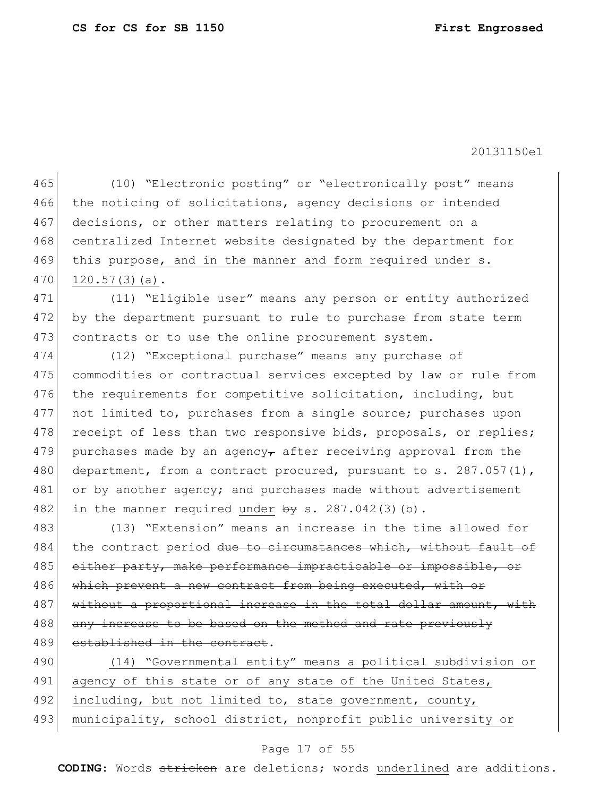465 (10) "Electronic posting" or "electronically post" means 466 the noticing of solicitations, agency decisions or intended 467 decisions, or other matters relating to procurement on a 468 centralized Internet website designated by the department for 469 this purpose, and in the manner and form required under s. 470 120.57(3)(a).

471 (11) "Eligible user" means any person or entity authorized 472 by the department pursuant to rule to purchase from state term 473 contracts or to use the online procurement system.

474 (12) "Exceptional purchase" means any purchase of 475 commodities or contractual services excepted by law or rule from 476 the requirements for competitive solicitation, including, but 477 not limited to, purchases from a single source; purchases upon 478 receipt of less than two responsive bids, proposals, or replies; 479 purchases made by an agency, after receiving approval from the 480 department, from a contract procured, pursuant to s.  $287.057(1)$ , 481 or by another agency; and purchases made without advertisement 482 in the manner required under  $\frac{1}{2}$  s. 287.042(3)(b).

483 (13) "Extension" means an increase in the time allowed for 484 the contract period due to circumstances which, without fault of 485 either party, make performance impracticable or impossible, or 486 which prevent a new contract from being executed, with or 487 without a proportional increase in the total dollar amount, with 488 any increase to be based on the method and rate previously 489 established in the contract.

490 (14) "Governmental entity" means a political subdivision or 491 agency of this state or of any state of the United States, 492 including, but not limited to, state government, county, 493 municipality, school district, nonprofit public university or

### Page 17 of 55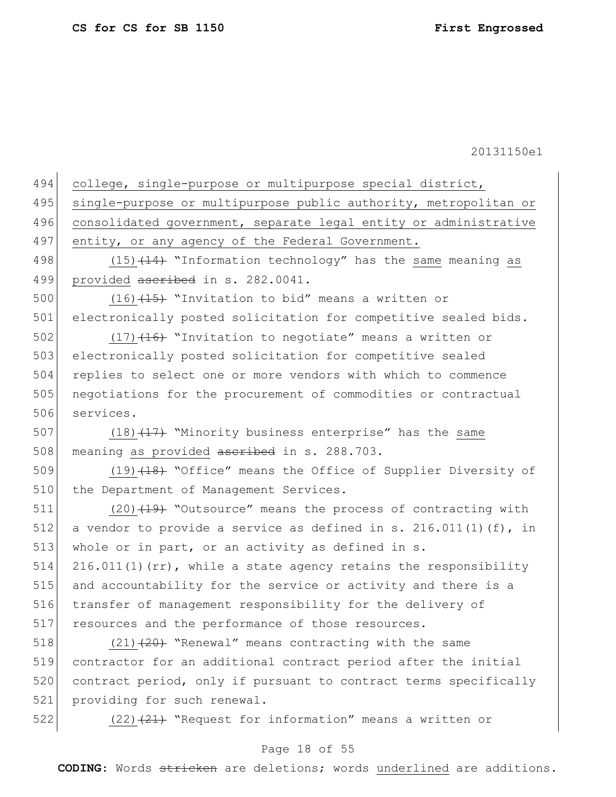| 494 | college, single-purpose or multipurpose special district,          |
|-----|--------------------------------------------------------------------|
| 495 | single-purpose or multipurpose public authority, metropolitan or   |
| 496 | consolidated government, separate legal entity or administrative   |
| 497 | entity, or any agency of the Federal Government.                   |
| 498 | $(15)$ $(14)$ "Information technology" has the same meaning as     |
| 499 | provided ascribed in s. 282.0041.                                  |
| 500 | $(16)$ $(15)$ "Invitation to bid" means a written or               |
| 501 | electronically posted solicitation for competitive sealed bids.    |
| 502 | $(17)$ $(16)$ "Invitation to negotiate" means a written or         |
| 503 | electronically posted solicitation for competitive sealed          |
| 504 | replies to select one or more vendors with which to commence       |
| 505 | negotiations for the procurement of commodities or contractual     |
| 506 | services.                                                          |
| 507 | $(18)$ $(17)$ "Minority business enterprise" has the same          |
| 508 | meaning as provided ascribed in s. 288.703.                        |
| 509 | (19) (18) "Office" means the Office of Supplier Diversity of       |
| 510 | the Department of Management Services.                             |
| 511 | $(20)$ $(19)$ "Outsource" means the process of contracting with    |
| 512 | a vendor to provide a service as defined in s. 216.011(1) (f), in  |
| 513 | whole or in part, or an activity as defined in s.                  |
| 514 | $216.011(1)$ (rr), while a state agency retains the responsibility |
| 515 | and accountability for the service or activity and there is a      |
| 516 | transfer of management responsibility for the delivery of          |
| 517 | resources and the performance of those resources.                  |
| 518 | $(21)$ $(20)$ "Renewal" means contracting with the same            |
| 519 | contractor for an additional contract period after the initial     |
| 520 | contract period, only if pursuant to contract terms specifically   |
| 521 | providing for such renewal.                                        |
| 522 | $(22)$ $(21)$ "Request for information" means a written or         |

# Page 18 of 55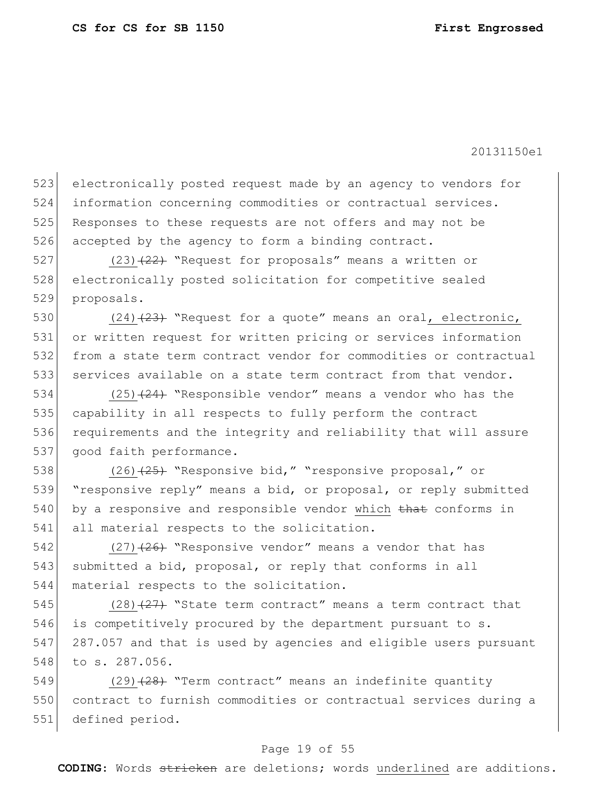523 electronically posted request made by an agency to vendors for 524 information concerning commodities or contractual services. 525 Responses to these requests are not offers and may not be 526 accepted by the agency to form a binding contract.

527 (23) (22) "Request for proposals" means a written or 528 electronically posted solicitation for competitive sealed 529 proposals.

 $(24)$   $(23)$  "Request for a quote" means an oral, electronic, or written request for written pricing or services information from a state term contract vendor for commodities or contractual services available on a state term contract from that vendor.

534 (25)<del>(24)</del> "Responsible vendor" means a vendor who has the 535 capability in all respects to fully perform the contract 536 requirements and the integrity and reliability that will assure 537 good faith performance.

538 (26)<del>(25)</del> "Responsive bid," "responsive proposal," or 539 "responsive reply" means a bid, or proposal, or reply submitted  $540$  by a responsive and responsible vendor which that conforms in 541 all material respects to the solicitation.

542  $(27)$   $(26)$  "Responsive vendor" means a vendor that has 543 submitted a bid, proposal, or reply that conforms in all 544 material respects to the solicitation.

545  $(28)$   $\overline{27}$  "State term contract" means a term contract that 546 is competitively procured by the department pursuant to s. 547 287.057 and that is used by agencies and eligible users pursuant 548 to s. 287.056.

549  $(29)$   $(28)$  "Term contract" means an indefinite quantity 550 contract to furnish commodities or contractual services during a 551 defined period.

## Page 19 of 55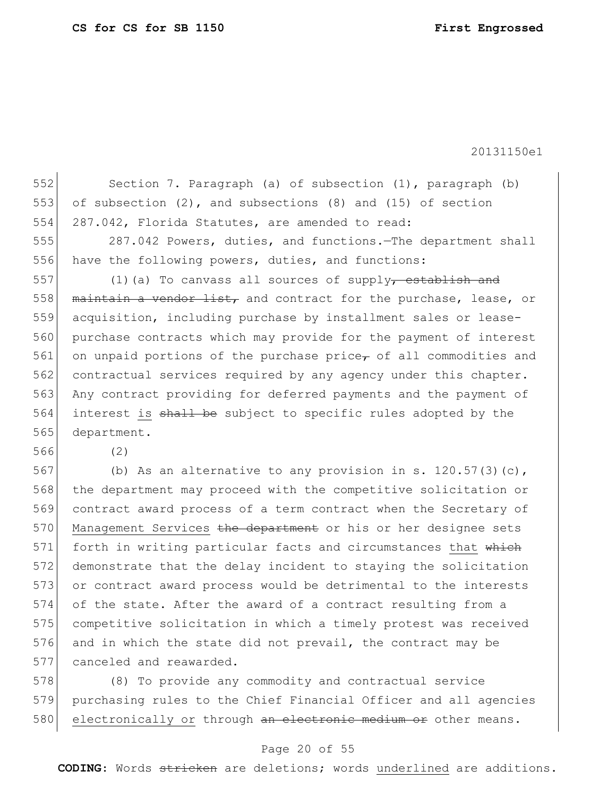552 Section 7. Paragraph (a) of subsection (1), paragraph (b) 553 of subsection  $(2)$ , and subsections  $(8)$  and  $(15)$  of section 554 287.042, Florida Statutes, are amended to read: 555 287.042 Powers, duties, and functions.—The department shall 556 have the following powers, duties, and functions: 557  $(1)$  (a) To canvass all sources of supply, establish and 558  $\vert$  maintain a vendor list, and contract for the purchase, lease, or 559 acquisition, including purchase by installment sales or lease-560 purchase contracts which may provide for the payment of interest 561 on unpaid portions of the purchase price, of all commodities and 562 contractual services required by any agency under this chapter. 563 Any contract providing for deferred payments and the payment of 564 interest is shall be subject to specific rules adopted by the 565 department. 566 (2) 567 (b) As an alternative to any provision in s. 120.57(3)(c), 568 the department may proceed with the competitive solicitation or 569 contract award process of a term contract when the Secretary of 570 Management Services the department or his or her designee sets 571 forth in writing particular facts and circumstances that which 572 demonstrate that the delay incident to staying the solicitation 573 or contract award process would be detrimental to the interests 574 of the state. After the award of a contract resulting from a 575 competitive solicitation in which a timely protest was received 576 and in which the state did not prevail, the contract may be

577 canceled and reawarded.

578 (8) To provide any commodity and contractual service 579 purchasing rules to the Chief Financial Officer and all agencies 580 electronically or through an electronic medium or other means.

### Page 20 of 55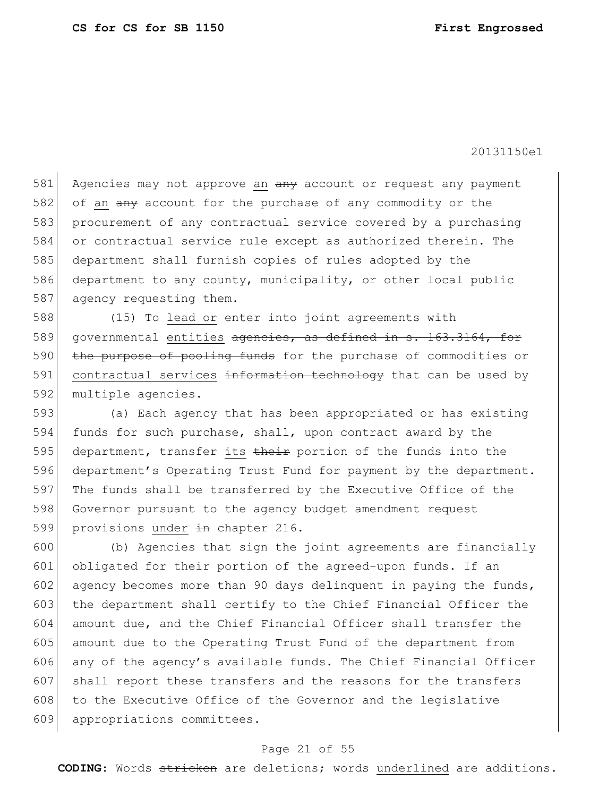581 Agencies may not approve an any account or request any payment 582 of an any account for the purchase of any commodity or the 583 procurement of any contractual service covered by a purchasing 584 or contractual service rule except as authorized therein. The 585 department shall furnish copies of rules adopted by the 586 department to any county, municipality, or other local public 587 agency requesting them.

588 (15) To lead or enter into joint agreements with 589 governmental entities agencies, as defined in s. 163.3164, for 590 the purpose of pooling funds for the purchase of commodities or 591 contractual services information technology that can be used by 592 multiple agencies.

593 (a) Each agency that has been appropriated or has existing 594 funds for such purchase, shall, upon contract award by the 595 department, transfer its their portion of the funds into the 596 department's Operating Trust Fund for payment by the department. 597 The funds shall be transferred by the Executive Office of the 598 Governor pursuant to the agency budget amendment request 599 provisions under  $\frac{1}{2}$ n chapter 216.

600 (b) Agencies that sign the joint agreements are financially 601 obligated for their portion of the agreed-upon funds. If an 602 agency becomes more than 90 days delinquent in paying the funds, 603 the department shall certify to the Chief Financial Officer the 604 amount due, and the Chief Financial Officer shall transfer the 605 amount due to the Operating Trust Fund of the department from 606 any of the agency's available funds. The Chief Financial Officer 607 shall report these transfers and the reasons for the transfers 608 to the Executive Office of the Governor and the legislative 609 appropriations committees.

## Page 21 of 55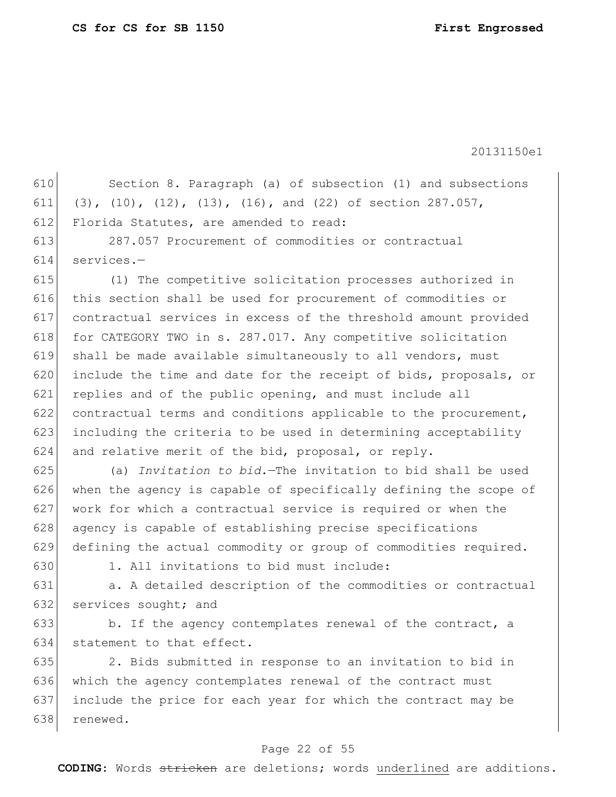610 Section 8. Paragraph (a) of subsection (1) and subsections 611 (3), (10), (12), (13), (16), and (22) of section 287.057, 612 Florida Statutes, are amended to read: 613 287.057 Procurement of commodities or contractual 614 services.— 615 (1) The competitive solicitation processes authorized in 616 this section shall be used for procurement of commodities or 617 contractual services in excess of the threshold amount provided 618 for CATEGORY TWO in s. 287.017. Any competitive solicitation 619 shall be made available simultaneously to all vendors, must 620 include the time and date for the receipt of bids, proposals, or 621 replies and of the public opening, and must include all 622 contractual terms and conditions applicable to the procurement, 623 including the criteria to be used in determining acceptability 624 and relative merit of the bid, proposal, or reply. 625 (a) *Invitation to bid.*—The invitation to bid shall be used 626 when the agency is capable of specifically defining the scope of 627 work for which a contractual service is required or when the 628 agency is capable of establishing precise specifications 629 defining the actual commodity or group of commodities required.  $630$  1. All invitations to bid must include: 631 a. A detailed description of the commodities or contractual 632 services sought; and 633 b. If the agency contemplates renewal of the contract, a 634 statement to that effect. 635 2. Bids submitted in response to an invitation to bid in 636 which the agency contemplates renewal of the contract must 637 include the price for each year for which the contract may be 638 renewed.

### Page 22 of 55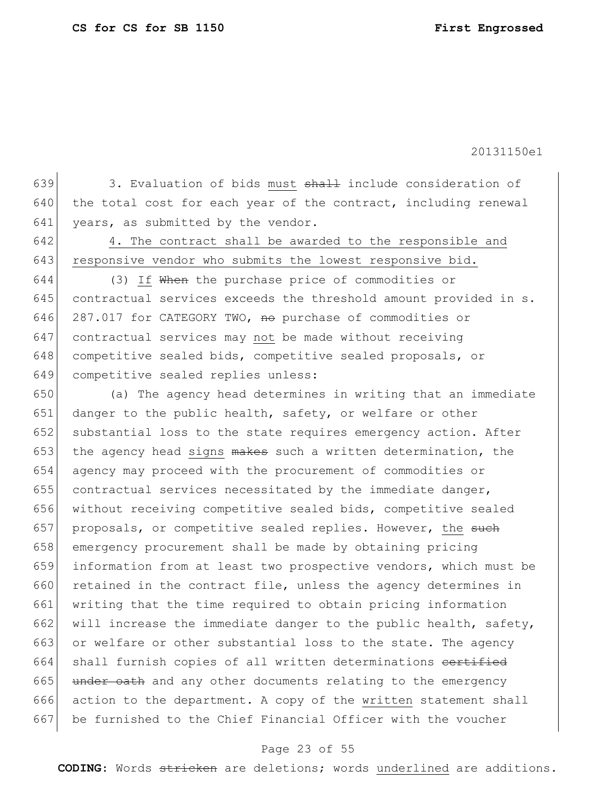639 3. Evaluation of bids must  $shath$  include consideration of  $640$  the total cost for each year of the contract, including renewal 641 years, as submitted by the vendor.

642 4. The contract shall be awarded to the responsible and 643 responsive vendor who submits the lowest responsive bid.

644 (3) If When the purchase price of commodities or 645 contractual services exceeds the threshold amount provided in s. 646 287.017 for CATEGORY TWO, no purchase of commodities or 647 contractual services may not be made without receiving 648 competitive sealed bids, competitive sealed proposals, or 649 competitive sealed replies unless:

650 (a) The agency head determines in writing that an immediate 651 danger to the public health, safety, or welfare or other 652 substantial loss to the state requires emergency action. After 653 the agency head signs  $m$ akes such a written determination, the 654 agency may proceed with the procurement of commodities or 655 contractual services necessitated by the immediate danger, 656 without receiving competitive sealed bids, competitive sealed 657 proposals, or competitive sealed replies. However, the such 658 emergency procurement shall be made by obtaining pricing 659 information from at least two prospective vendors, which must be 660 retained in the contract file, unless the agency determines in 661 writing that the time required to obtain pricing information 662 will increase the immediate danger to the public health, safety, 663 or welfare or other substantial loss to the state. The agency 664 shall furnish copies of all written determinations eertified 665 under oath and any other documents relating to the emergency 666 action to the department. A copy of the written statement shall 667 be furnished to the Chief Financial Officer with the voucher

# Page 23 of 55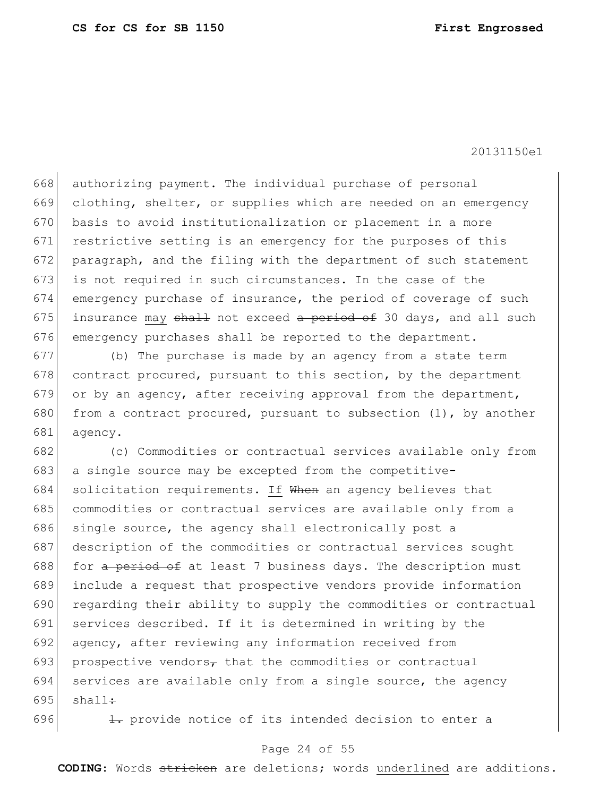668 authorizing payment. The individual purchase of personal 669 clothing, shelter, or supplies which are needed on an emergency 670 basis to avoid institutionalization or placement in a more 671 restrictive setting is an emergency for the purposes of this 672 paragraph, and the filing with the department of such statement 673 is not required in such circumstances. In the case of the 674 emergency purchase of insurance, the period of coverage of such 675 insurance may shall not exceed a period of 30 days, and all such 676 emergency purchases shall be reported to the department.

677 (b) The purchase is made by an agency from a state term  $678$  contract procured, pursuant to this section, by the department 679 or by an agency, after receiving approval from the department, 680 from a contract procured, pursuant to subsection  $(1)$ , by another 681 agency.

682 (c) Commodities or contractual services available only from 683 a single source may be excepted from the competitive-684 solicitation requirements. If When an agency believes that 685 commodities or contractual services are available only from a 686 single source, the agency shall electronically post a 687 description of the commodities or contractual services sought 688 for a period of at least 7 business days. The description must 689 include a request that prospective vendors provide information 690 regarding their ability to supply the commodities or contractual 691 services described. If it is determined in writing by the 692 agency, after reviewing any information received from 693 prospective vendors<sub> $\tau$ </sub> that the commodities or contractual 694 services are available only from a single source, the agency 695  $shall$ :

696  $\vert$   $\vert$   $\vert$  provide notice of its intended decision to enter a

### Page 24 of 55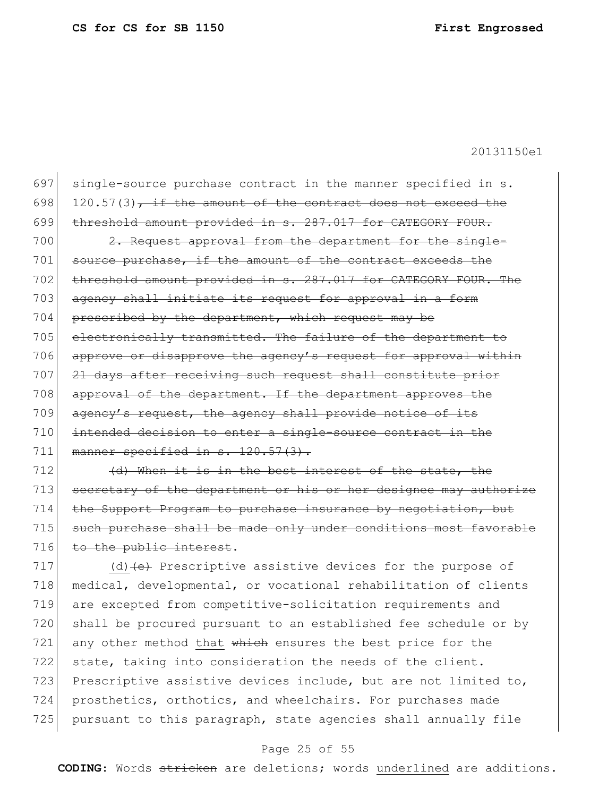697 single-source purchase contract in the manner specified in s. 698 120.57(3), if the amount of the contract does not exceed the 699 threshold amount provided in s. 287.017 for CATEGORY FOUR. 700 2. Request approval from the department for the single-701 source purchase, if the amount of the contract exceeds the 702 threshold amount provided in s. 287.017 for CATEGORY FOUR. The 703 agency shall initiate its request for approval in a form 704 prescribed by the department, which request may be 705 electronically transmitted. The failure of the department to 706 approve or disapprove the agency's request for approval within 707 21 days after receiving such request shall constitute prior 708 approval of the department. If the department approves the

709 agency's request, the agency shall provide notice of its 710 intended decision to enter a single-source contract in the 711 manner specified in  $s. 120.57(3)$ .

 $712$  (d) When it is in the best interest of the state, the 713 secretary of the department or his or her designee may authorize 714 the Support Program to purchase insurance by negotiation, but 715 such purchase shall be made only under conditions most favorable 716 to the public interest.

717 (d)  $\left\{ \theta \right\}$  Prescriptive assistive devices for the purpose of 718 medical, developmental, or vocational rehabilitation of clients 719 are excepted from competitive-solicitation requirements and 720 shall be procured pursuant to an established fee schedule or by 721 any other method that  $whieh$  ensures the best price for the 722 state, taking into consideration the needs of the client. 723 Prescriptive assistive devices include, but are not limited to, 724 prosthetics, orthotics, and wheelchairs. For purchases made 725 pursuant to this paragraph, state agencies shall annually file

# Page 25 of 55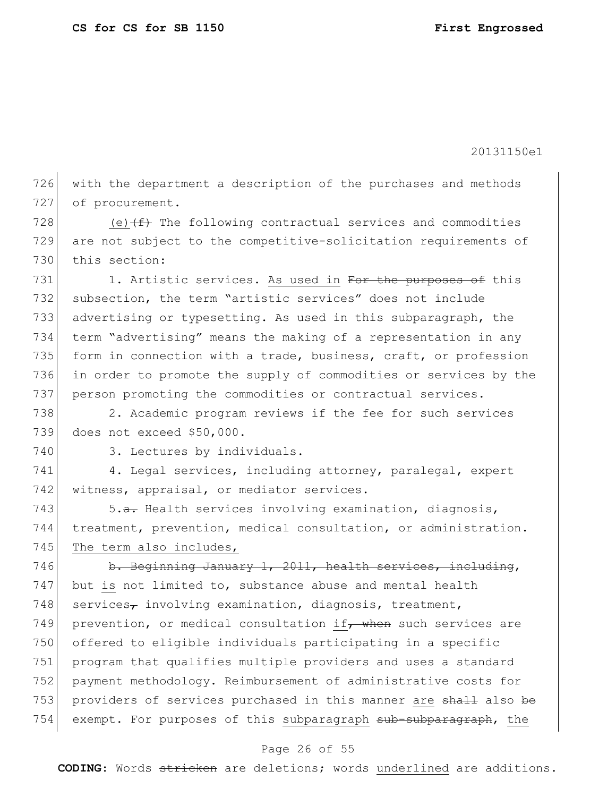726 with the department a description of the purchases and methods 727 of procurement.

728 (e) $(f)$  The following contractual services and commodities 729 are not subject to the competitive-solicitation requirements of 730 this section:

731 1. Artistic services. As used in For the purposes of this 732 subsection, the term "artistic services" does not include 733 advertising or typesetting. As used in this subparagraph, the 734 term "advertising" means the making of a representation in any 735 form in connection with a trade, business, craft, or profession 736 in order to promote the supply of commodities or services by the 737 person promoting the commodities or contractual services.

738 2. Academic program reviews if the fee for such services 739 does not exceed \$50,000.

740 3. Lectures by individuals.

741 4. Legal services, including attorney, paralegal, expert 742 witness, appraisal, or mediator services.

743 5.a. Health services involving examination, diagnosis, 744 treatment, prevention, medical consultation, or administration. 745 The term also includes,

746 b. Beginning January 1, 2011, health services, including, 747 but is not limited to, substance abuse and mental health 748 services<sub> $\tau$ </sub> involving examination, diagnosis, treatment, 749 prevention, or medical consultation if, when such services are 750 offered to eligible individuals participating in a specific 751 program that qualifies multiple providers and uses a standard 752 payment methodology. Reimbursement of administrative costs for 753 providers of services purchased in this manner are shall also be 754 exempt. For purposes of this subparagraph sub-subparagraph, the

## Page 26 of 55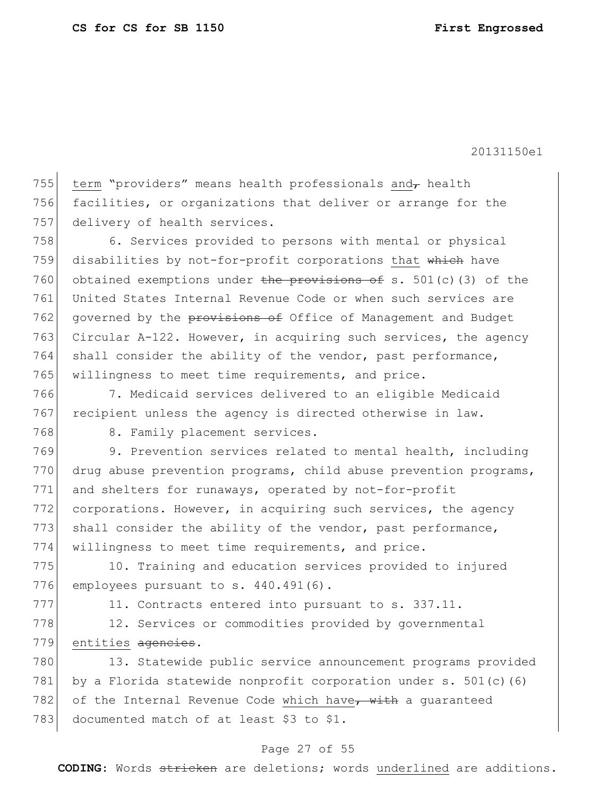755 term "providers" means health professionals and  $\tau$  health 756 facilities, or organizations that deliver or arrange for the 757 delivery of health services.

758 6. Services provided to persons with mental or physical 759 disabilities by not-for-profit corporations that which have 760 obtained exemptions under the provisions of s. 501(c)(3) of the 761 United States Internal Revenue Code or when such services are 762 governed by the provisions of Office of Management and Budget 763 Circular A-122. However, in acquiring such services, the agency 764 shall consider the ability of the vendor, past performance, 765 willingness to meet time requirements, and price.

766 7. Medicaid services delivered to an eligible Medicaid 767 recipient unless the agency is directed otherwise in law.

768 8. Family placement services.

769 9. Prevention services related to mental health, including 770 drug abuse prevention programs, child abuse prevention programs, 771 and shelters for runaways, operated by not-for-profit 772 corporations. However, in acquiring such services, the agency 773 shall consider the ability of the vendor, past performance, 774 willingness to meet time requirements, and price.

775 10. Training and education services provided to injured 776 employees pursuant to s. 440.491(6).

 $777$  11. Contracts entered into pursuant to s. 337.11.

778 12. Services or commodities provided by governmental 779 entities agencies.

780 13. Statewide public service announcement programs provided 781 by a Florida statewide nonprofit corporation under s. 501(c)(6) 782 of the Internal Revenue Code which have, with a guaranteed 783 documented match of at least \$3 to \$1.

# Page 27 of 55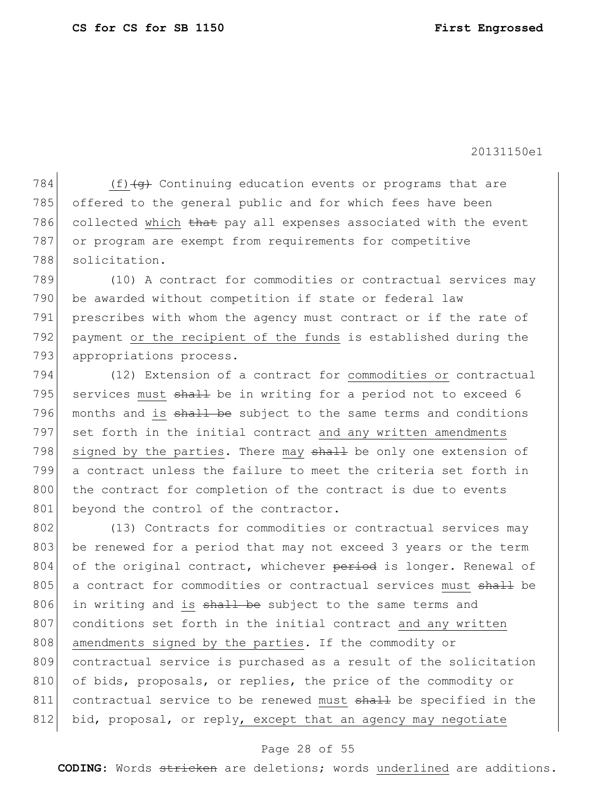784  $(f)$  (f) (g) Continuing education events or programs that are 785 offered to the general public and for which fees have been 786 collected which that pay all expenses associated with the event 787 or program are exempt from requirements for competitive 788 solicitation.

789 (10) A contract for commodities or contractual services may 790 be awarded without competition if state or federal law 791 prescribes with whom the agency must contract or if the rate of 792 payment or the recipient of the funds is established during the 793 appropriations process.

794 (12) Extension of a contract for commodities or contractual 795 services must  $shaH$  be in writing for a period not to exceed 6 796 months and is shall be subject to the same terms and conditions 797 set forth in the initial contract and any written amendments 798 signed by the parties. There may shall be only one extension of 799 a contract unless the failure to meet the criteria set forth in 800 the contract for completion of the contract is due to events 801 beyond the control of the contractor.

802 (13) Contracts for commodities or contractual services may 803 be renewed for a period that may not exceed 3 years or the term 804 of the original contract, whichever period is longer. Renewal of 805 a contract for commodities or contractual services must shall be 806 in writing and is  $shall$  be subject to the same terms and 807 conditions set forth in the initial contract and any written 808 amendments signed by the parties. If the commodity or 809 contractual service is purchased as a result of the solicitation 810 of bids, proposals, or replies, the price of the commodity or 811 contractual service to be renewed must shall be specified in the 812 bid, proposal, or reply, except that an agency may negotiate

## Page 28 of 55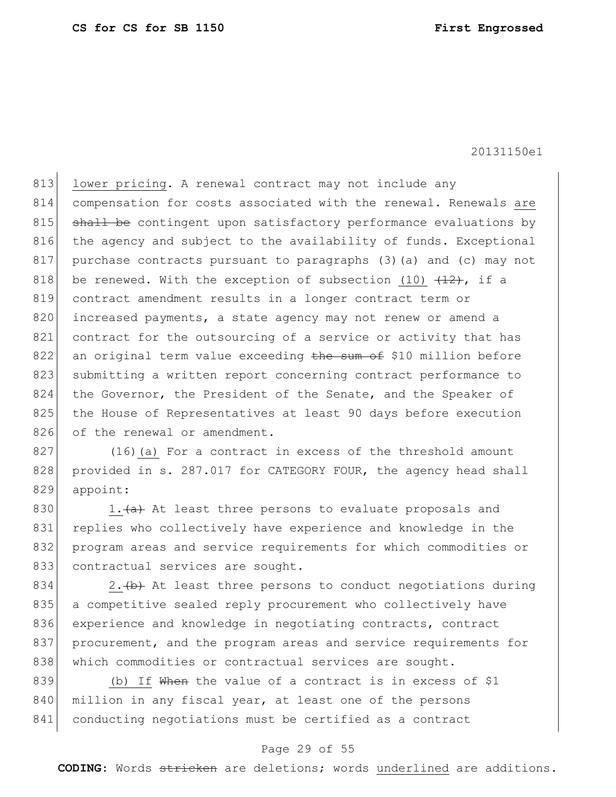813 lower pricing. A renewal contract may not include any 814 compensation for costs associated with the renewal. Renewals are 815 shall be contingent upon satisfactory performance evaluations by 816 the agency and subject to the availability of funds. Exceptional 817 purchase contracts pursuant to paragraphs (3)(a) and (c) may not 818 be renewed. With the exception of subsection (10)  $(12)$ , if a 819 contract amendment results in a longer contract term or 820 increased payments, a state agency may not renew or amend a 821 contract for the outsourcing of a service or activity that has  $822$  an original term value exceeding the sum of \$10 million before 823 submitting a written report concerning contract performance to 824 the Governor, the President of the Senate, and the Speaker of 825 the House of Representatives at least 90 days before execution 826 of the renewal or amendment.

827 (16)(a) For a contract in excess of the threshold amount 828 provided in s. 287.017 for CATEGORY FOUR, the agency head shall 829 appoint:

830 1. $\frac{a}{a}$  At least three persons to evaluate proposals and 831 replies who collectively have experience and knowledge in the 832 program areas and service requirements for which commodities or 833 contractual services are sought.

834 2.  $\leftrightarrow$  At least three persons to conduct negotiations during 835 | a competitive sealed reply procurement who collectively have 836 experience and knowledge in negotiating contracts, contract 837 procurement, and the program areas and service requirements for 838 which commodities or contractual services are sought.

839 (b) If When the value of a contract is in excess of  $$1$ 840 million in any fiscal year, at least one of the persons 841 conducting negotiations must be certified as a contract

# Page 29 of 55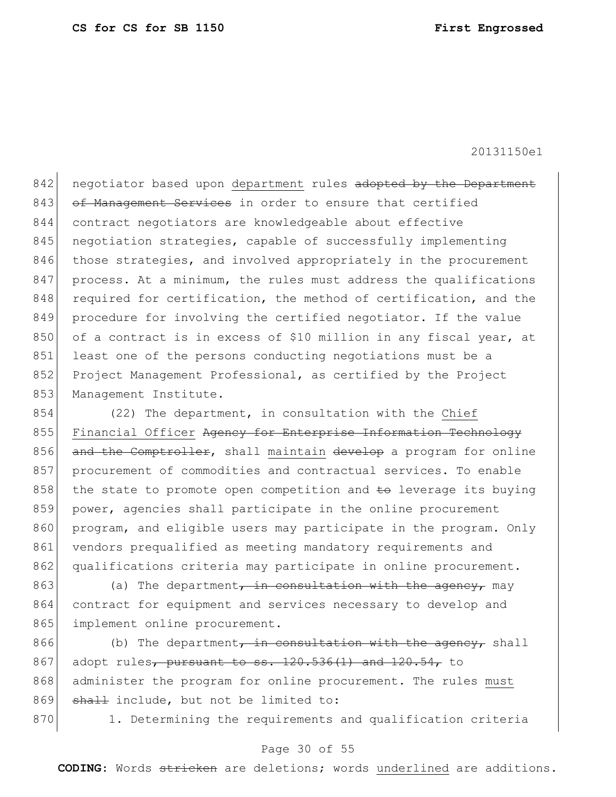842 negotiator based upon department rules adopted by the Department 843 of Management Services in order to ensure that certified 844 contract negotiators are knowledgeable about effective 845 | negotiation strategies, capable of successfully implementing 846 those strategies, and involved appropriately in the procurement 847 process. At a minimum, the rules must address the qualifications 848 required for certification, the method of certification, and the 849 procedure for involving the certified negotiator. If the value 850 of a contract is in excess of \$10 million in any fiscal year, at 851 least one of the persons conducting negotiations must be a 852 Project Management Professional, as certified by the Project 853 Management Institute.

854 (22) The department, in consultation with the Chief 855 Financial Officer Agency for Enterprise Information Technology 856 and the Comptroller, shall maintain develop a program for online 857 procurement of commodities and contractual services. To enable 858 the state to promote open competition and  $\pm \sigma$  leverage its buying 859 power, agencies shall participate in the online procurement 860 program, and eligible users may participate in the program. Only 861 vendors prequalified as meeting mandatory requirements and 862 qualifications criteria may participate in online procurement.

863 (a) The department, in consultation with the agency, may 864 contract for equipment and services necessary to develop and 865 implement online procurement.

866 (b) The department, in consultation with the agency, shall 867 adopt rules<sub>7</sub> pursuant to ss.  $120.536(1)$  and  $120.54$ , to 868 administer the program for online procurement. The rules must 869 shall include, but not be limited to:

870 1. Determining the requirements and qualification criteria

### Page 30 of 55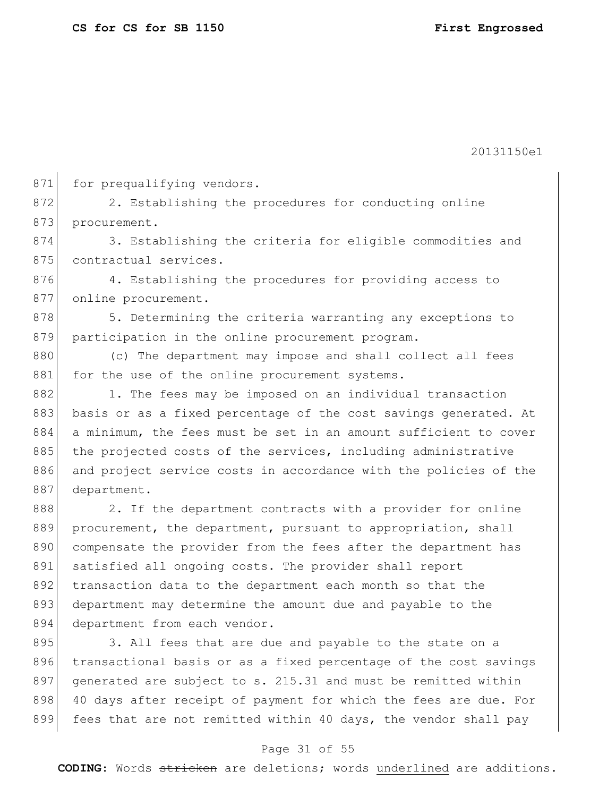871 for prequalifying vendors. 872 2. Establishing the procedures for conducting online 873 procurement. 874 3. Establishing the criteria for eligible commodities and 875 contractual services. 876 4. Establishing the procedures for providing access to 877 online procurement. 878 5. Determining the criteria warranting any exceptions to 879 participation in the online procurement program. 880 (c) The department may impose and shall collect all fees 881 for the use of the online procurement systems. 882 1. The fees may be imposed on an individual transaction 883 basis or as a fixed percentage of the cost savings generated. At 884 a minimum, the fees must be set in an amount sufficient to cover 885 the projected costs of the services, including administrative 886 and project service costs in accordance with the policies of the 887 department. 888 2. If the department contracts with a provider for online 889 procurement, the department, pursuant to appropriation, shall 890 compensate the provider from the fees after the department has 891 satisfied all ongoing costs. The provider shall report 892 transaction data to the department each month so that the 893 department may determine the amount due and payable to the 894 department from each vendor. 895 3. All fees that are due and payable to the state on a 896 transactional basis or as a fixed percentage of the cost savings 897 generated are subject to s. 215.31 and must be remitted within 898 40 days after receipt of payment for which the fees are due. For 899 fees that are not remitted within 40 days, the vendor shall pay

### Page 31 of 55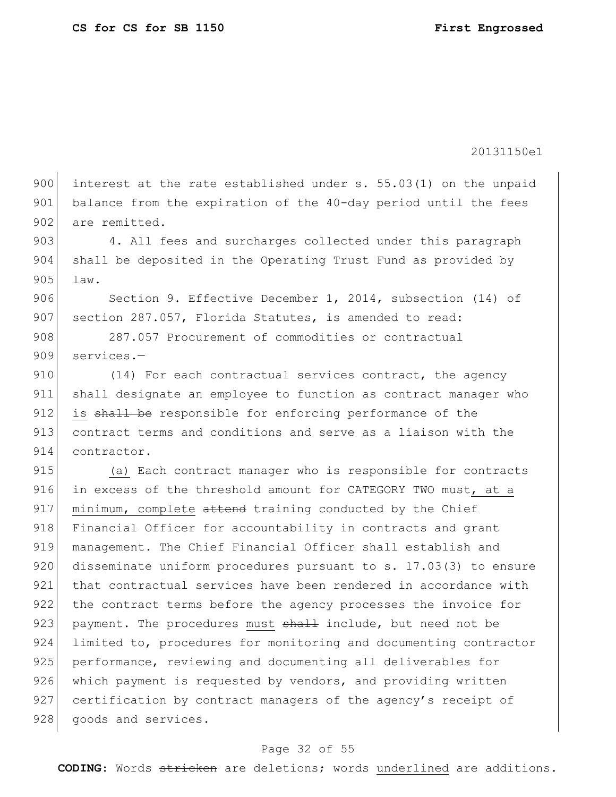900 interest at the rate established under s. 55.03(1) on the unpaid 901 balance from the expiration of the 40-day period until the fees 902 are remitted.

903 4. All fees and surcharges collected under this paragraph 904 shall be deposited in the Operating Trust Fund as provided by 905 law.

906 Section 9. Effective December 1, 2014, subsection (14) of 907 section 287.057, Florida Statutes, is amended to read:

908 287.057 Procurement of commodities or contractual 909 services.—

910 (14) For each contractual services contract, the agency 911 shall designate an employee to function as contract manager who 912 is shall be responsible for enforcing performance of the 913 contract terms and conditions and serve as a liaison with the 914 contractor.

915 (a) Each contract manager who is responsible for contracts 916 in excess of the threshold amount for CATEGORY TWO must, at a 917 minimum, complete attend training conducted by the Chief 918 Financial Officer for accountability in contracts and grant 919 | management. The Chief Financial Officer shall establish and 920 disseminate uniform procedures pursuant to s. 17.03(3) to ensure 921 that contractual services have been rendered in accordance with 922 the contract terms before the agency processes the invoice for 923 payment. The procedures must shall include, but need not be 924 limited to, procedures for monitoring and documenting contractor 925 performance, reviewing and documenting all deliverables for 926 which payment is requested by vendors, and providing written 927 certification by contract managers of the agency's receipt of 928 goods and services.

### Page 32 of 55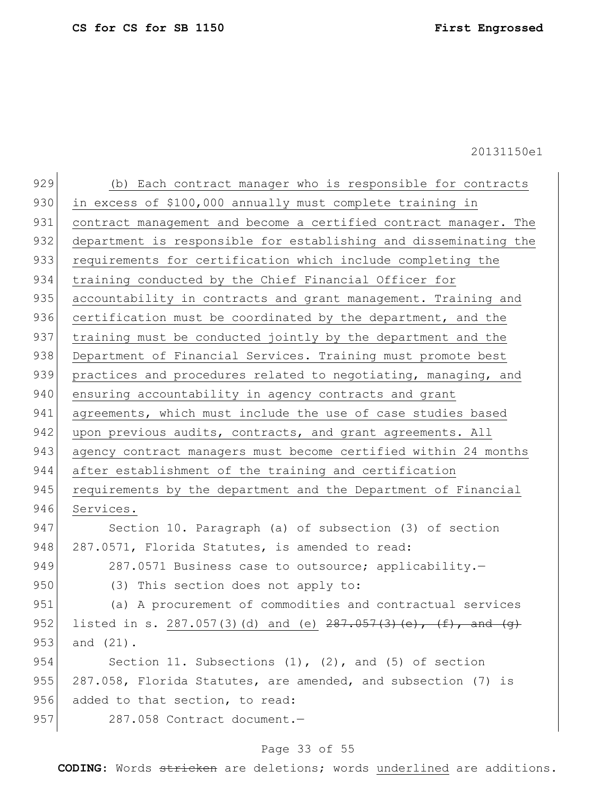| 929 | (b) Each contract manager who is responsible for contracts           |
|-----|----------------------------------------------------------------------|
| 930 | in excess of \$100,000 annually must complete training in            |
| 931 | contract management and become a certified contract manager. The     |
| 932 | department is responsible for establishing and disseminating the     |
| 933 | requirements for certification which include completing the          |
| 934 | training conducted by the Chief Financial Officer for                |
| 935 | accountability in contracts and grant management. Training and       |
| 936 | certification must be coordinated by the department, and the         |
| 937 | training must be conducted jointly by the department and the         |
| 938 | Department of Financial Services. Training must promote best         |
| 939 | practices and procedures related to negotiating, managing, and       |
| 940 | ensuring accountability in agency contracts and grant                |
| 941 | agreements, which must include the use of case studies based         |
| 942 | upon previous audits, contracts, and grant agreements. All           |
| 943 | agency contract managers must become certified within 24 months      |
| 944 | after establishment of the training and certification                |
| 945 | requirements by the department and the Department of Financial       |
| 946 | Services.                                                            |
| 947 | Section 10. Paragraph (a) of subsection (3) of section               |
| 948 | 287.0571, Florida Statutes, is amended to read:                      |
| 949 | 287.0571 Business case to outsource; applicability.-                 |
| 950 | (3) This section does not apply to:                                  |
| 951 | (a) A procurement of commodities and contractual services            |
| 952 | listed in s. 287.057(3)(d) and (e) $287.057(3)$ (e), $(f)$ , and (q) |
| 953 | and $(21)$ .                                                         |
| 954 | Section 11. Subsections $(1)$ , $(2)$ , and $(5)$ of section         |
| 955 | 287.058, Florida Statutes, are amended, and subsection (7) is        |
| 956 | added to that section, to read:                                      |
| 957 | 287.058 Contract document.-                                          |
|     |                                                                      |

# Page 33 of 55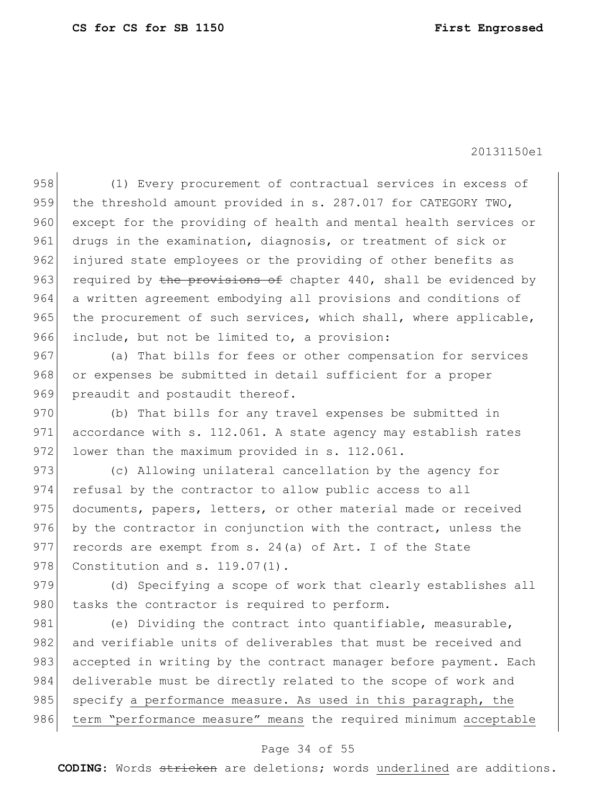958 (1) Every procurement of contractual services in excess of 959 the threshold amount provided in s. 287.017 for CATEGORY TWO, 960 except for the providing of health and mental health services or 961 drugs in the examination, diagnosis, or treatment of sick or 962 injured state employees or the providing of other benefits as 963 required by the provisions of chapter 440, shall be evidenced by 964 a written agreement embodying all provisions and conditions of 965 the procurement of such services, which shall, where applicable, 966 include, but not be limited to, a provision:

967 (a) That bills for fees or other compensation for services 968 or expenses be submitted in detail sufficient for a proper 969 preaudit and postaudit thereof.

970 (b) That bills for any travel expenses be submitted in 971 accordance with s. 112.061. A state agency may establish rates 972 lower than the maximum provided in  $s. 112.061$ .

973 (c) Allowing unilateral cancellation by the agency for 974 refusal by the contractor to allow public access to all 975 documents, papers, letters, or other material made or received 976 by the contractor in conjunction with the contract, unless the 977 records are exempt from s. 24(a) of Art. I of the State 978 Constitution and s. 119.07(1).

979 (d) Specifying a scope of work that clearly establishes all 980 tasks the contractor is required to perform.

981 (e) Dividing the contract into quantifiable, measurable, 982 and verifiable units of deliverables that must be received and 983 accepted in writing by the contract manager before payment. Each 984 deliverable must be directly related to the scope of work and 985 specify a performance measure. As used in this paragraph, the 986 term "performance measure" means the required minimum acceptable

### Page 34 of 55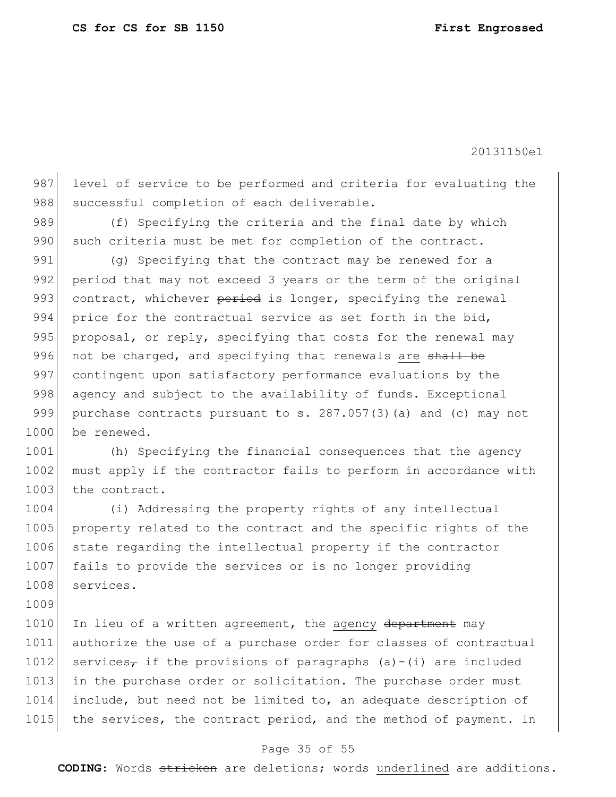987 level of service to be performed and criteria for evaluating the 988 successful completion of each deliverable.

989 (f) Specifying the criteria and the final date by which 990 such criteria must be met for completion of the contract.

991 (g) Specifying that the contract may be renewed for a 992 period that may not exceed 3 years or the term of the original 993 contract, whichever period is longer, specifying the renewal 994 price for the contractual service as set forth in the bid, 995 proposal, or reply, specifying that costs for the renewal may 996 not be charged, and specifying that renewals are shall be 997 contingent upon satisfactory performance evaluations by the 998 agency and subject to the availability of funds. Exceptional 999 purchase contracts pursuant to s. 287.057(3)(a) and (c) may not 1000 be renewed.

1001 (h) Specifying the financial consequences that the agency 1002 must apply if the contractor fails to perform in accordance with 1003 the contract.

1004 (i) Addressing the property rights of any intellectual 1005 property related to the contract and the specific rights of the 1006 state regarding the intellectual property if the contractor 1007 fails to provide the services or is no longer providing 1008 services.

1009

1010 In lieu of a written agreement, the agency department may 1011 authorize the use of a purchase order for classes of contractual 1012 services<sub> $\tau$ </sub> if the provisions of paragraphs (a)-(i) are included 1013 in the purchase order or solicitation. The purchase order must 1014 include, but need not be limited to, an adequate description of 1015 the services, the contract period, and the method of payment. In

### Page 35 of 55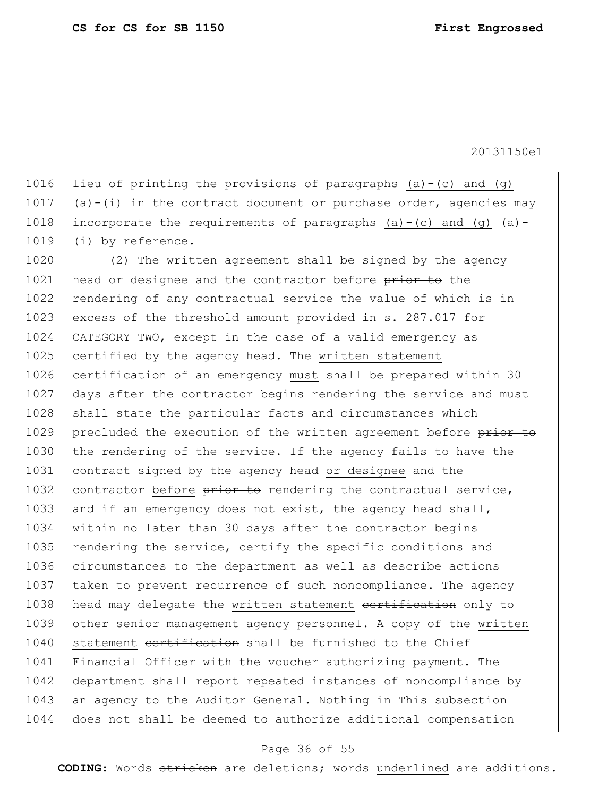1016 lieu of printing the provisions of paragraphs  $(a) - (c)$  and  $(g)$ 1017  $\left( \frac{a}{a} \right)$  (i) in the contract document or purchase order, agencies may 1018 incorporate the requirements of paragraphs (a)-(c) and (g)  $\left( \frac{a}{a} \right)$ -1019  $\leftrightarrow$  by reference.

1020 (2) The written agreement shall be signed by the agency 1021 head or designee and the contractor before prior to the 1022 rendering of any contractual service the value of which is in 1023 excess of the threshold amount provided in s. 287.017 for 1024 CATEGORY TWO, except in the case of a valid emergency as 1025 certified by the agency head. The written statement 1026 certification of an emergency must shall be prepared within 30 1027 days after the contractor begins rendering the service and must 1028 shall state the particular facts and circumstances which 1029 precluded the execution of the written agreement before prior to 1030 the rendering of the service. If the agency fails to have the 1031 contract signed by the agency head or designee and the 1032 contractor before prior to rendering the contractual service, 1033 and if an emergency does not exist, the agency head shall, 1034 within no later than 30 days after the contractor begins 1035 rendering the service, certify the specific conditions and 1036 circumstances to the department as well as describe actions 1037 taken to prevent recurrence of such noncompliance. The agency 1038 head may delegate the written statement certification only to 1039 other senior management agency personnel. A copy of the written 1040 statement cortification shall be furnished to the Chief 1041 Financial Officer with the voucher authorizing payment. The 1042 department shall report repeated instances of noncompliance by 1043 an agency to the Auditor General. Nothing in This subsection 1044 does not shall be deemed to authorize additional compensation

#### Page 36 of 55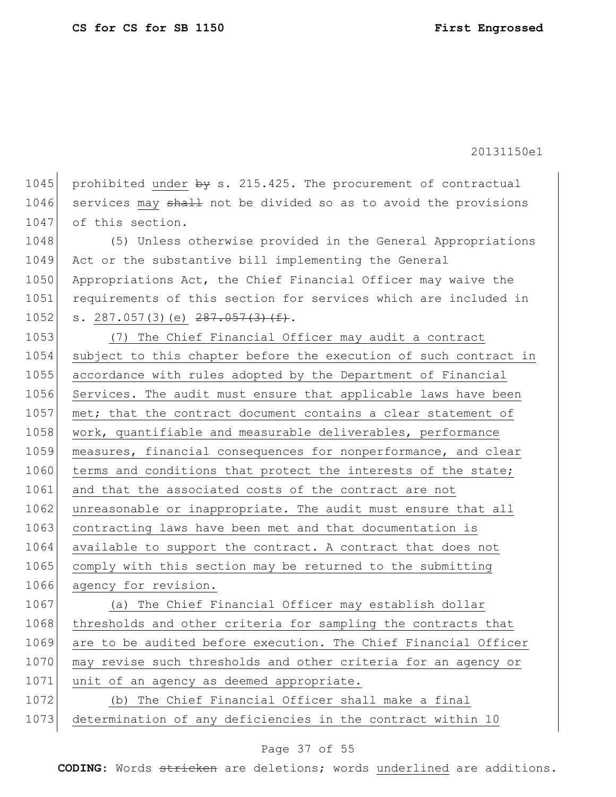1045 prohibited under  $by s. 215.425$ . The procurement of contractual 1046 services may shall not be divided so as to avoid the provisions 1047 of this section.

1048 (5) Unless otherwise provided in the General Appropriations 1049 Act or the substantive bill implementing the General 1050 Appropriations Act, the Chief Financial Officer may waive the 1051 requirements of this section for services which are included in 1052 s. 287.057(3)(e)  $287.057(3)(f).$ 

1053 (7) The Chief Financial Officer may audit a contract 1054 subject to this chapter before the execution of such contract in 1055 accordance with rules adopted by the Department of Financial 1056 Services. The audit must ensure that applicable laws have been 1057 met; that the contract document contains a clear statement of 1058 work, quantifiable and measurable deliverables, performance 1059 measures, financial consequences for nonperformance, and clear 1060 terms and conditions that protect the interests of the state; 1061 and that the associated costs of the contract are not 1062 unreasonable or inappropriate. The audit must ensure that all 1063 contracting laws have been met and that documentation is 1064 available to support the contract. A contract that does not 1065 comply with this section may be returned to the submitting 1066 agency for revision.

1067 (a) The Chief Financial Officer may establish dollar 1068 thresholds and other criteria for sampling the contracts that 1069 are to be audited before execution. The Chief Financial Officer 1070 may revise such thresholds and other criteria for an agency or 1071 unit of an agency as deemed appropriate.

1072 (b) The Chief Financial Officer shall make a final 1073 determination of any deficiencies in the contract within 10

### Page 37 of 55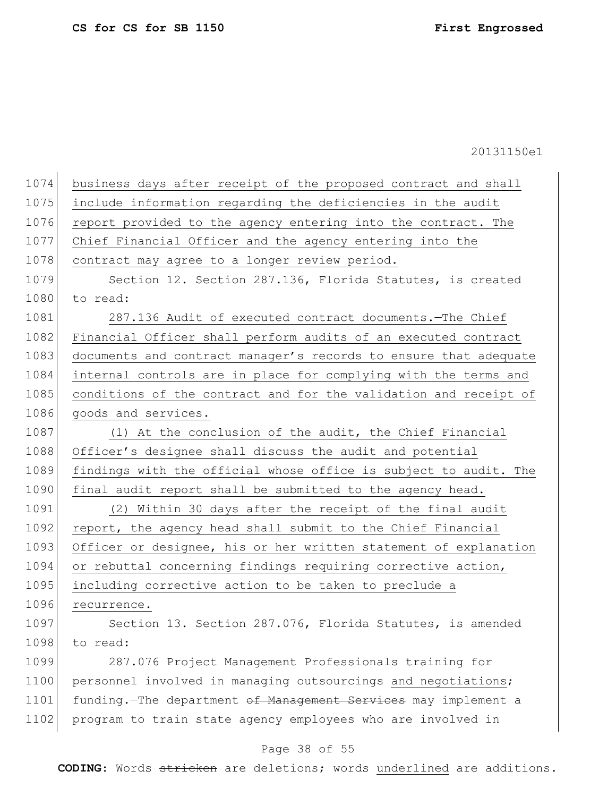| 1074 | business days after receipt of the proposed contract and shall   |
|------|------------------------------------------------------------------|
| 1075 | include information regarding the deficiencies in the audit      |
| 1076 | report provided to the agency entering into the contract. The    |
| 1077 | Chief Financial Officer and the agency entering into the         |
| 1078 | contract may agree to a longer review period.                    |
| 1079 | Section 12. Section 287.136, Florida Statutes, is created        |
| 1080 | to read:                                                         |
| 1081 | 287.136 Audit of executed contract documents. - The Chief        |
| 1082 | Financial Officer shall perform audits of an executed contract   |
| 1083 | documents and contract manager's records to ensure that adequate |
| 1084 | internal controls are in place for complying with the terms and  |
| 1085 | conditions of the contract and for the validation and receipt of |
| 1086 | goods and services.                                              |
| 1087 | (1) At the conclusion of the audit, the Chief Financial          |
| 1088 | Officer's designee shall discuss the audit and potential         |
| 1089 | findings with the official whose office is subject to audit. The |
| 1090 | final audit report shall be submitted to the agency head.        |
| 1091 | (2) Within 30 days after the receipt of the final audit          |
| 1092 | report, the agency head shall submit to the Chief Financial      |
| 1093 | Officer or designee, his or her written statement of explanation |
| 1094 | or rebuttal concerning findings requiring corrective action,     |
| 1095 | including corrective action to be taken to preclude a            |
| 1096 | recurrence.                                                      |
| 1097 | Section 13. Section 287.076, Florida Statutes, is amended        |
| 1098 | to read:                                                         |
| 1099 | 287.076 Project Management Professionals training for            |
| 1100 | personnel involved in managing outsourcings and negotiations;    |
| 1101 | funding.-The department of Management Services may implement a   |
| 1102 | program to train state agency employees who are involved in      |
|      |                                                                  |

# Page 38 of 55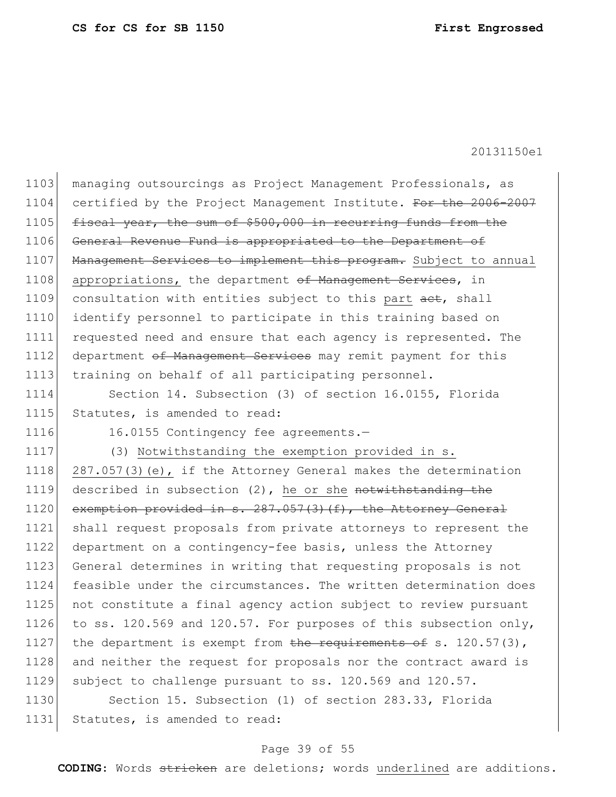1103 managing outsourcings as Project Management Professionals, as 1104 certified by the Project Management Institute. For the 2006-2007 1105 fiscal year, the sum of \$500,000 in recurring funds from the 1106 General Revenue Fund is appropriated to the Department of 1107 Management Services to implement this program. Subject to annual 1108 appropriations, the department of Management Services, in 1109 consultation with entities subject to this part act, shall 1110 identify personnel to participate in this training based on 1111 requested need and ensure that each agency is represented. The 1112 department of Management Services may remit payment for this 1113 training on behalf of all participating personnel.

1114 Section 14. Subsection (3) of section 16.0155, Florida 1115 Statutes, is amended to read:

1116 16.0155 Contingency fee agreements.-

1117 (3) Notwithstanding the exemption provided in s.

1118 287.057(3)(e), if the Attorney General makes the determination 1119 described in subsection  $(2)$ , he or she notwithstanding the 1120 exemption provided in s. 287.057(3)(f), the Attorney General 1121 shall request proposals from private attorneys to represent the 1122 department on a contingency-fee basis, unless the Attorney 1123 General determines in writing that requesting proposals is not 1124 feasible under the circumstances. The written determination does 1125 not constitute a final agency action subject to review pursuant 1126 to ss. 120.569 and 120.57. For purposes of this subsection only, 1127 the department is exempt from the requirements of s.  $120.57(3)$ , 1128 and neither the request for proposals nor the contract award is 1129 subject to challenge pursuant to ss. 120.569 and 120.57.

1130 Section 15. Subsection (1) of section 283.33, Florida 1131 Statutes, is amended to read:

### Page 39 of 55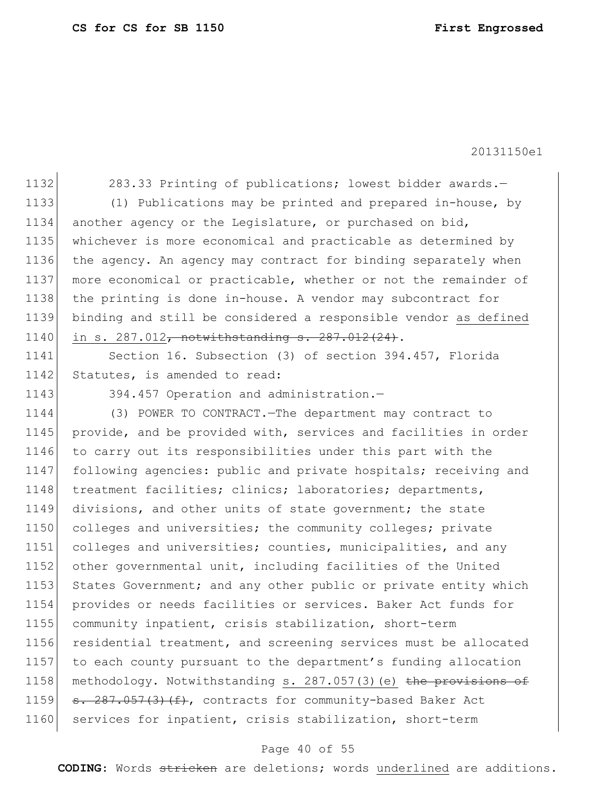1132 283.33 Printing of publications; lowest bidder awards.

 (1) Publications may be printed and prepared in-house, by another agency or the Legislature, or purchased on bid, whichever is more economical and practicable as determined by the agency. An agency may contract for binding separately when more economical or practicable, whether or not the remainder of 1138 the printing is done in-house. A vendor may subcontract for binding and still be considered a responsible vendor as defined 1140 in s. 287.012, notwithstanding s. 287.012(24).

1141 Section 16. Subsection (3) of section 394.457, Florida 1142 Statutes, is amended to read:

1143 394.457 Operation and administration.-

1144 (3) POWER TO CONTRACT.—The department may contract to 1145 provide, and be provided with, services and facilities in order 1146 to carry out its responsibilities under this part with the 1147 following agencies: public and private hospitals; receiving and 1148 treatment facilities; clinics; laboratories; departments, 1149 divisions, and other units of state government; the state 1150 colleges and universities; the community colleges; private 1151 colleges and universities; counties, municipalities, and any 1152 other governmental unit, including facilities of the United 1153 States Government; and any other public or private entity which 1154 provides or needs facilities or services. Baker Act funds for 1155 community inpatient, crisis stabilization, short-term 1156 residential treatment, and screening services must be allocated 1157 to each county pursuant to the department's funding allocation 1158 methodology. Notwithstanding s. 287.057(3)(e) the provisions of 1159  $s. 287.057(3)(f)$ , contracts for community-based Baker Act 1160 services for inpatient, crisis stabilization, short-term

#### Page 40 of 55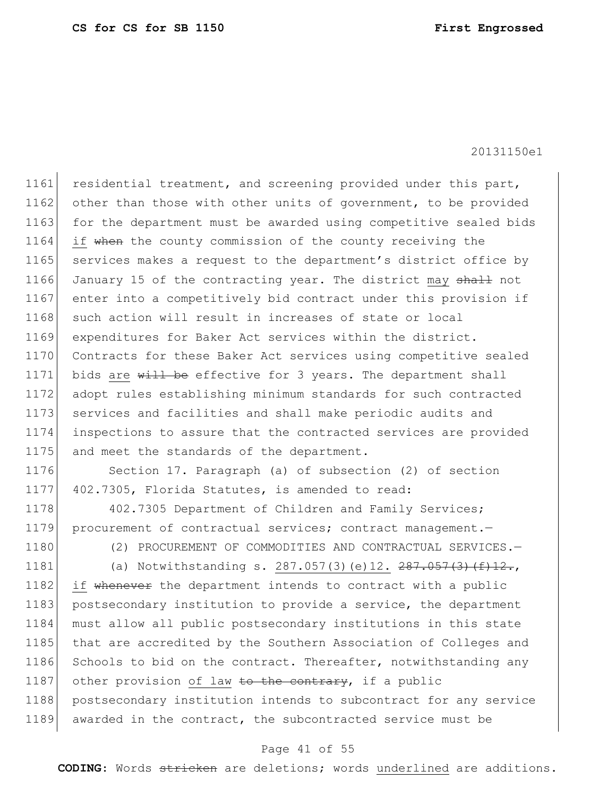1161 residential treatment, and screening provided under this part, 1162 other than those with other units of government, to be provided 1163 for the department must be awarded using competitive sealed bids 1164 if when the county commission of the county receiving the 1165 services makes a request to the department's district office by 1166 January 15 of the contracting year. The district may shall not 1167 enter into a competitively bid contract under this provision if 1168 such action will result in increases of state or local 1169 expenditures for Baker Act services within the district. 1170 Contracts for these Baker Act services using competitive sealed 1171 bids are will be effective for 3 years. The department shall 1172 adopt rules establishing minimum standards for such contracted 1173 services and facilities and shall make periodic audits and 1174 inspections to assure that the contracted services are provided 1175 and meet the standards of the department.

1176 Section 17. Paragraph (a) of subsection (2) of section 1177 402.7305, Florida Statutes, is amended to read:

1178 402.7305 Department of Children and Family Services; 1179 procurement of contractual services; contract management.

1180 (2) PROCUREMENT OF COMMODITIES AND CONTRACTUAL SERVICES.-

1181 (a) Notwithstanding s. 287.057(3)(e)12.  $287.057(3)$ (f)12.,

1182 if whenever the department intends to contract with a public 1183 postsecondary institution to provide a service, the department 1184 must allow all public postsecondary institutions in this state 1185 that are accredited by the Southern Association of Colleges and 1186 Schools to bid on the contract. Thereafter, notwithstanding any 1187 other provision of law to the contrary, if a public 1188 postsecondary institution intends to subcontract for any service 1189 awarded in the contract, the subcontracted service must be

### Page 41 of 55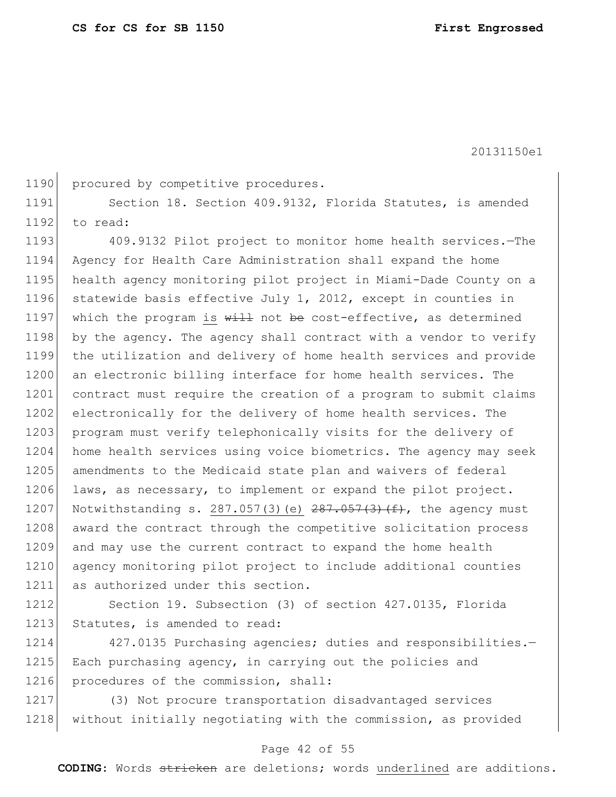1190 procured by competitive procedures.

1191 Section 18. Section 409.9132, Florida Statutes, is amended  $1192$  to read:

1193 409.9132 Pilot project to monitor home health services. The 1194 Agency for Health Care Administration shall expand the home 1195 health agency monitoring pilot project in Miami-Dade County on a 1196 statewide basis effective July 1, 2012, except in counties in 1197 which the program is  $\frac{11}{2}$  not be cost-effective, as determined 1198 by the agency. The agency shall contract with a vendor to verify 1199 the utilization and delivery of home health services and provide 1200 an electronic billing interface for home health services. The 1201 contract must require the creation of a program to submit claims 1202 electronically for the delivery of home health services. The 1203 program must verify telephonically visits for the delivery of 1204 home health services using voice biometrics. The agency may seek 1205 amendments to the Medicaid state plan and waivers of federal 1206 laws, as necessary, to implement or expand the pilot project. 1207 Notwithstanding s. 287.057(3)(e)  $287.057(3)$  (f), the agency must 1208 award the contract through the competitive solicitation process 1209 and may use the current contract to expand the home health 1210 agency monitoring pilot project to include additional counties 1211 as authorized under this section.

1212 Section 19. Subsection (3) of section 427.0135, Florida 1213 Statutes, is amended to read:

1214 427.0135 Purchasing agencies; duties and responsibilities.-1215 Each purchasing agency, in carrying out the policies and 1216 procedures of the commission, shall:

1217 (3) Not procure transportation disadvantaged services 1218 without initially negotiating with the commission, as provided

### Page 42 of 55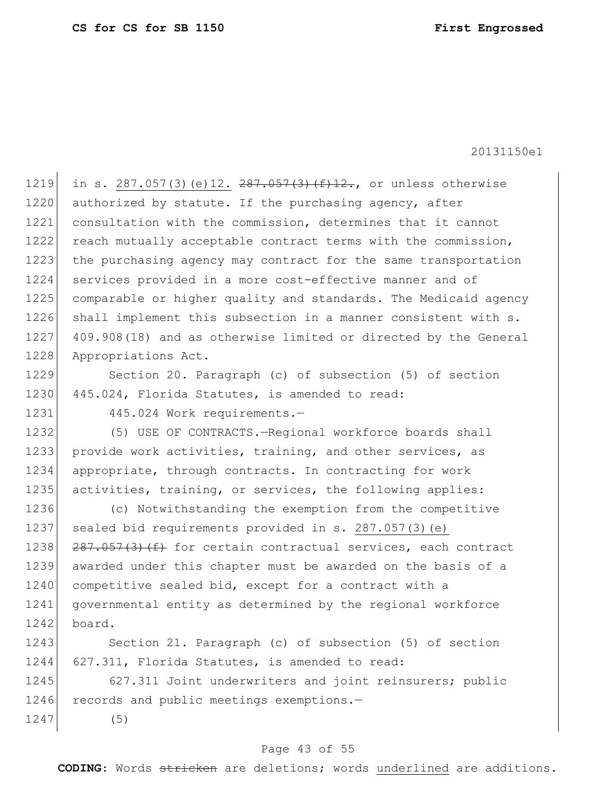1219 in s. 287.057(3)(e)12. 287.057(3)(f)12., or unless otherwise 1220 authorized by statute. If the purchasing agency, after 1221 consultation with the commission, determines that it cannot 1222 reach mutually acceptable contract terms with the commission, 1223 the purchasing agency may contract for the same transportation 1224 services provided in a more cost-effective manner and of 1225 comparable or higher quality and standards. The Medicaid agency 1226 shall implement this subsection in a manner consistent with s. 1227 409.908 (18) and as otherwise limited or directed by the General 1228 Appropriations Act.

1229 Section 20. Paragraph (c) of subsection (5) of section 1230 445.024, Florida Statutes, is amended to read:

1231 445.024 Work requirements.-

1232 (5) USE OF CONTRACTS.-Regional workforce boards shall 1233 provide work activities, training, and other services, as 1234 appropriate, through contracts. In contracting for work 1235 activities, training, or services, the following applies:

1236 (c) Notwithstanding the exemption from the competitive 1237 sealed bid requirements provided in s. 287.057(3)(e) 1238  $\left[287.057(3)(f) + 50r \right]$  certain contractual services, each contract 1239 awarded under this chapter must be awarded on the basis of a 1240 competitive sealed bid, except for a contract with a 1241 governmental entity as determined by the regional workforce  $1242$  board.

1243 Section 21. Paragraph (c) of subsection (5) of section 1244 627.311, Florida Statutes, is amended to read:

1245 627.311 Joint underwriters and joint reinsurers; public 1246 records and public meetings exemptions.-1247 (5)

### Page 43 of 55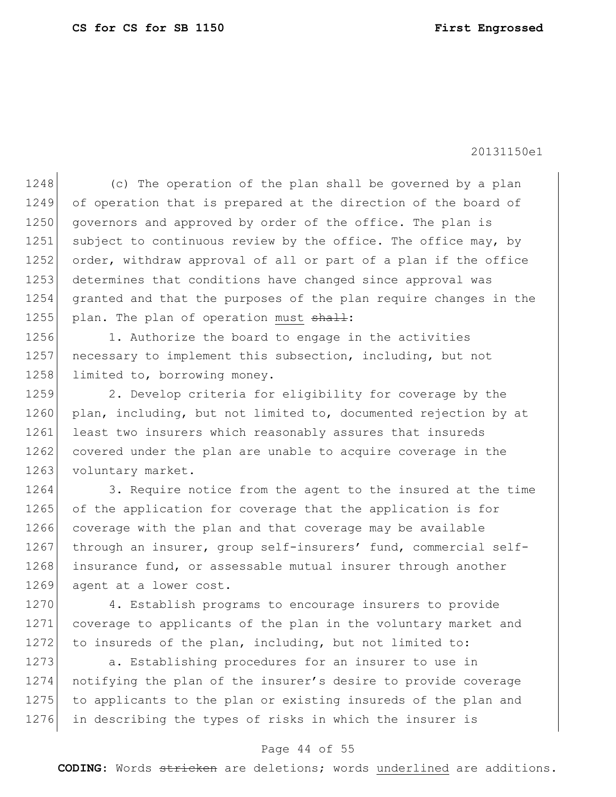1248 (c) The operation of the plan shall be governed by a plan 1249 of operation that is prepared at the direction of the board of 1250 governors and approved by order of the office. The plan is 1251 subject to continuous review by the office. The office may, by 1252 order, withdraw approval of all or part of a plan if the office 1253 determines that conditions have changed since approval was 1254 granted and that the purposes of the plan require changes in the 1255 plan. The plan of operation must  $shath$ :

1256 1. Authorize the board to engage in the activities 1257 necessary to implement this subsection, including, but not 1258 limited to, borrowing money.

1259 2. Develop criteria for eligibility for coverage by the 1260 plan, including, but not limited to, documented rejection by at 1261 least two insurers which reasonably assures that insureds 1262 covered under the plan are unable to acquire coverage in the 1263 voluntary market.

1264 3. Require notice from the agent to the insured at the time 1265 of the application for coverage that the application is for 1266 coverage with the plan and that coverage may be available 1267 through an insurer, group self-insurers' fund, commercial self-1268 insurance fund, or assessable mutual insurer through another 1269 agent at a lower cost.

1270 4. Establish programs to encourage insurers to provide 1271 coverage to applicants of the plan in the voluntary market and 1272 to insureds of the plan, including, but not limited to:

1273 a. Establishing procedures for an insurer to use in 1274 notifying the plan of the insurer's desire to provide coverage 1275 to applicants to the plan or existing insureds of the plan and 1276 in describing the types of risks in which the insurer is

### Page 44 of 55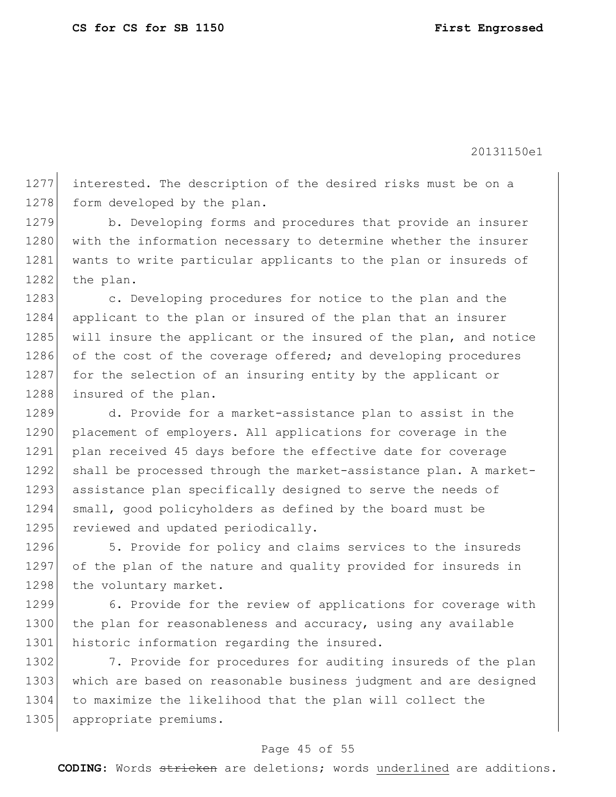1277 interested. The description of the desired risks must be on a 1278 form developed by the plan.

1279 b. Developing forms and procedures that provide an insurer 1280 with the information necessary to determine whether the insurer 1281 wants to write particular applicants to the plan or insureds of 1282 the plan.

1283 c. Developing procedures for notice to the plan and the 1284 applicant to the plan or insured of the plan that an insurer 1285 will insure the applicant or the insured of the plan, and notice 1286 of the cost of the coverage offered; and developing procedures 1287 for the selection of an insuring entity by the applicant or 1288 insured of the plan.

1289 d. Provide for a market-assistance plan to assist in the 1290 placement of employers. All applications for coverage in the 1291 plan received 45 days before the effective date for coverage 1292 shall be processed through the market-assistance plan. A market-1293 assistance plan specifically designed to serve the needs of 1294 small, good policyholders as defined by the board must be 1295 reviewed and updated periodically.

1296 5. Provide for policy and claims services to the insureds 1297 of the plan of the nature and quality provided for insureds in 1298 the voluntary market.

1299 6. Provide for the review of applications for coverage with 1300 the plan for reasonableness and accuracy, using any available 1301 historic information regarding the insured.

1302 7. Provide for procedures for auditing insureds of the plan 1303 which are based on reasonable business judgment and are designed 1304 to maximize the likelihood that the plan will collect the 1305 appropriate premiums.

## Page 45 of 55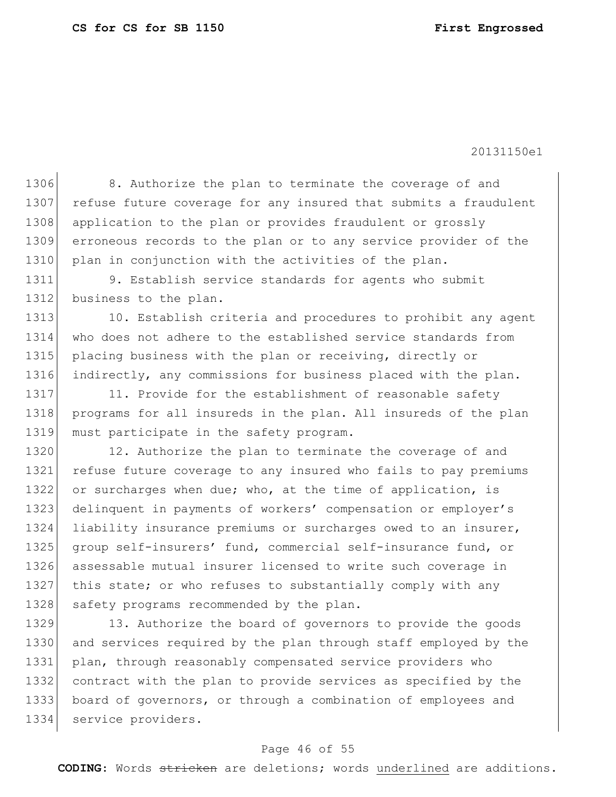1306 8. Authorize the plan to terminate the coverage of and 1307 refuse future coverage for any insured that submits a fraudulent 1308 application to the plan or provides fraudulent or grossly 1309 erroneous records to the plan or to any service provider of the 1310 plan in conjunction with the activities of the plan. 1311 9. Establish service standards for agents who submit 1312 business to the plan. 1313 10. Establish criteria and procedures to prohibit any agent 1314 who does not adhere to the established service standards from 1315 placing business with the plan or receiving, directly or 1316 indirectly, any commissions for business placed with the plan. 1317 11. Provide for the establishment of reasonable safety 1318 programs for all insureds in the plan. All insureds of the plan 1319 must participate in the safety program. 1320 12. Authorize the plan to terminate the coverage of and 1321 refuse future coverage to any insured who fails to pay premiums 1322 or surcharges when due; who, at the time of application, is 1323 delinquent in payments of workers' compensation or employer's 1324 liability insurance premiums or surcharges owed to an insurer, 1325 | group self-insurers' fund, commercial self-insurance fund, or 1326 assessable mutual insurer licensed to write such coverage in 1327 this state; or who refuses to substantially comply with any 1328 safety programs recommended by the plan. 1329 13. Authorize the board of governors to provide the goods 1330 and services required by the plan through staff employed by the 1331 plan, through reasonably compensated service providers who 1332 contract with the plan to provide services as specified by the 1333 board of governors, or through a combination of employees and

# 1334 service providers.

### Page 46 of 55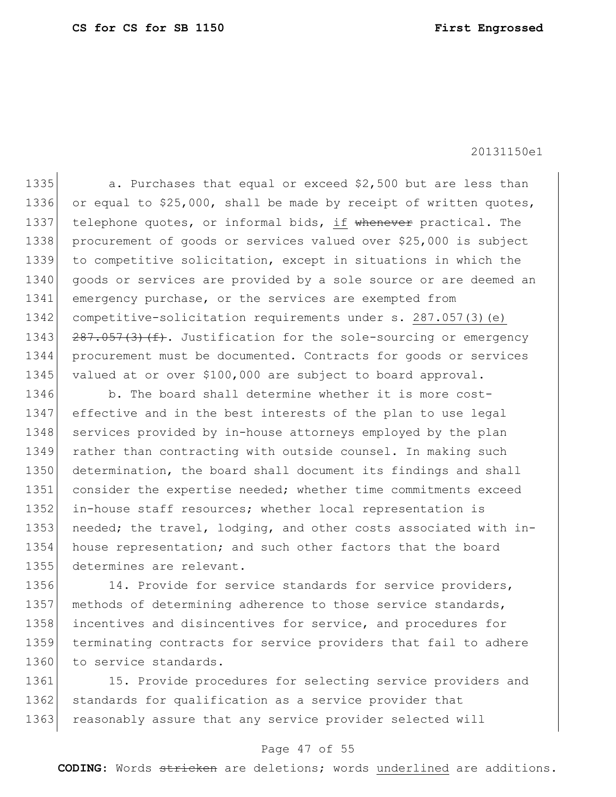1335 a. Purchases that equal or exceed \$2,500 but are less than 1336 or equal to \$25,000, shall be made by receipt of written quotes, 1337 telephone quotes, or informal bids, if whenever practical. The 1338 procurement of goods or services valued over \$25,000 is subject 1339 to competitive solicitation, except in situations in which the 1340 goods or services are provided by a sole source or are deemed an 1341 emergency purchase, or the services are exempted from 1342 competitive-solicitation requirements under s. 287.057(3)(e) 1343  $\left| \frac{287.057(3)(f)}{287.057(3)(f)} \right|$ . Justification for the sole-sourcing or emergency 1344 procurement must be documented. Contracts for goods or services 1345 valued at or over \$100,000 are subject to board approval.

1346 b. The board shall determine whether it is more cost-1347 effective and in the best interests of the plan to use legal 1348 services provided by in-house attorneys employed by the plan 1349 rather than contracting with outside counsel. In making such 1350 determination, the board shall document its findings and shall 1351 consider the expertise needed; whether time commitments exceed 1352 in-house staff resources; whether local representation is 1353 needed; the travel, lodging, and other costs associated with in-1354 house representation; and such other factors that the board 1355 determines are relevant.

1356 14. Provide for service standards for service providers, 1357 | methods of determining adherence to those service standards, 1358 incentives and disincentives for service, and procedures for 1359 terminating contracts for service providers that fail to adhere 1360 to service standards.

1361 15. Provide procedures for selecting service providers and 1362 standards for qualification as a service provider that 1363 reasonably assure that any service provider selected will

### Page 47 of 55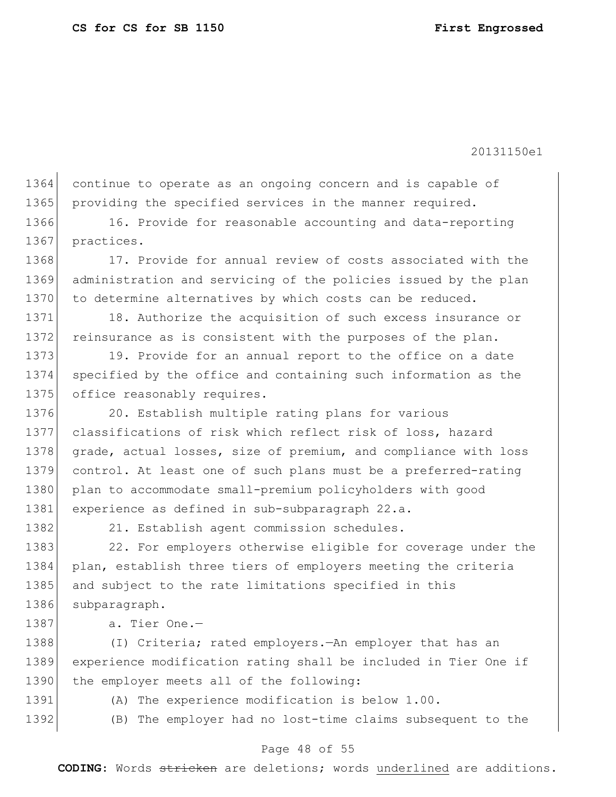1364 continue to operate as an ongoing concern and is capable of 1365 providing the specified services in the manner required.

1366 16. Provide for reasonable accounting and data-reporting 1367 practices.

1368 17. Provide for annual review of costs associated with the 1369 administration and servicing of the policies issued by the plan 1370 to determine alternatives by which costs can be reduced.

1371 18. Authorize the acquisition of such excess insurance or 1372 reinsurance as is consistent with the purposes of the plan.

1373 19. Provide for an annual report to the office on a date 1374 specified by the office and containing such information as the 1375 office reasonably requires.

1376 20. Establish multiple rating plans for various 1377 classifications of risk which reflect risk of loss, hazard 1378 grade, actual losses, size of premium, and compliance with loss 1379 control. At least one of such plans must be a preferred-rating 1380 plan to accommodate small-premium policyholders with good 1381 experience as defined in sub-subparagraph 22.a.

1382 21. Establish agent commission schedules.

1383 22. For employers otherwise eligible for coverage under the 1384 plan, establish three tiers of employers meeting the criteria 1385 and subject to the rate limitations specified in this 1386 subparagraph.

1387 a. Tier One.-

1388 (I) Criteria; rated employers.—An employer that has an 1389 experience modification rating shall be included in Tier One if 1390 the employer meets all of the following:

1391 (A) The experience modification is below 1.00.

1392 (B) The employer had no lost-time claims subsequent to the

### Page 48 of 55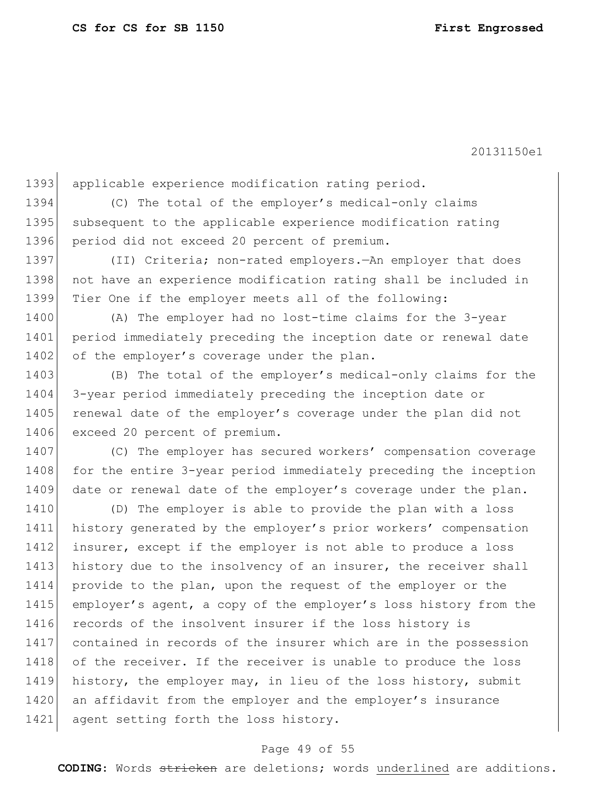1393 applicable experience modification rating period. 1394 (C) The total of the employer's medical-only claims 1395 subsequent to the applicable experience modification rating 1396 period did not exceed 20 percent of premium. 1397 (II) Criteria; non-rated employers.—An employer that does 1398 not have an experience modification rating shall be included in 1399 Tier One if the employer meets all of the following: 1400 (A) The employer had no lost-time claims for the 3-year 1401 period immediately preceding the inception date or renewal date 1402 of the employer's coverage under the plan. 1403 (B) The total of the employer's medical-only claims for the 1404 3-year period immediately preceding the inception date or 1405 renewal date of the employer's coverage under the plan did not 1406 exceed 20 percent of premium. 1407 (C) The employer has secured workers' compensation coverage 1408 for the entire 3-year period immediately preceding the inception 1409 date or renewal date of the employer's coverage under the plan. 1410 (D) The employer is able to provide the plan with a loss 1411 history generated by the employer's prior workers' compensation 1412 insurer, except if the employer is not able to produce a loss 1413 history due to the insolvency of an insurer, the receiver shall 1414 provide to the plan, upon the request of the employer or the 1415 employer's agent, a copy of the employer's loss history from the 1416 records of the insolvent insurer if the loss history is 1417 contained in records of the insurer which are in the possession 1418 of the receiver. If the receiver is unable to produce the loss 1419 history, the employer may, in lieu of the loss history, submit 1420 an affidavit from the employer and the employer's insurance 1421 agent setting forth the loss history.

### Page 49 of 55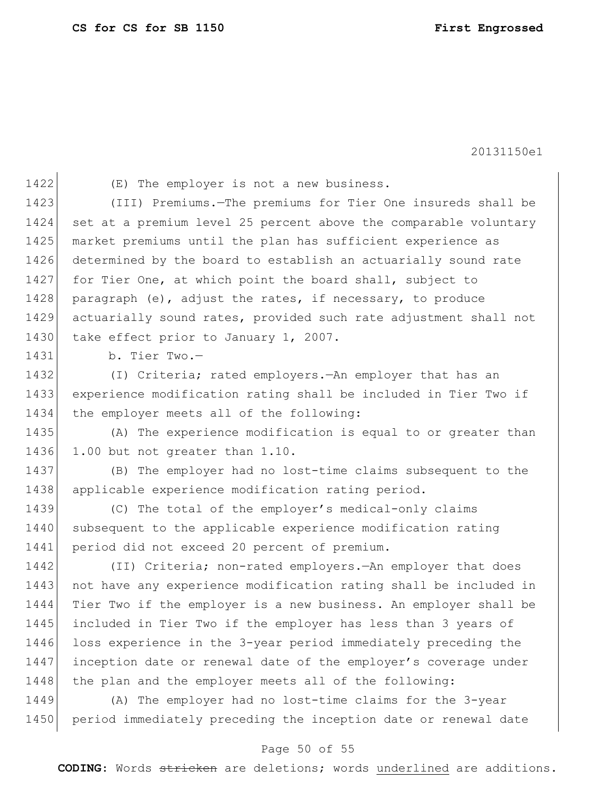1422 (E) The employer is not a new business. 1423 (III) Premiums.—The premiums for Tier One insureds shall be 1424 set at a premium level 25 percent above the comparable voluntary 1425 market premiums until the plan has sufficient experience as 1426 determined by the board to establish an actuarially sound rate 1427 for Tier One, at which point the board shall, subject to 1428 paragraph (e), adjust the rates, if necessary, to produce 1429 actuarially sound rates, provided such rate adjustment shall not 1430 take effect prior to January 1, 2007. 1431 b. Tier Two.— 1432 (I) Criteria; rated employers.—An employer that has an 1433 experience modification rating shall be included in Tier Two if 1434 the employer meets all of the following: 1435 (A) The experience modification is equal to or greater than 1436 1.00 but not greater than 1.10. 1437 (B) The employer had no lost-time claims subsequent to the 1438 applicable experience modification rating period. 1439 (C) The total of the employer's medical-only claims 1440 subsequent to the applicable experience modification rating 1441 period did not exceed 20 percent of premium. 1442 (II) Criteria; non-rated employers.—An employer that does 1443 not have any experience modification rating shall be included in 1444 Tier Two if the employer is a new business. An employer shall be 1445 included in Tier Two if the employer has less than 3 years of 1446 loss experience in the 3-year period immediately preceding the 1447 inception date or renewal date of the employer's coverage under 1448 the plan and the employer meets all of the following: 1449 (A) The employer had no lost-time claims for the 3-year 1450 period immediately preceding the inception date or renewal date

### Page 50 of 55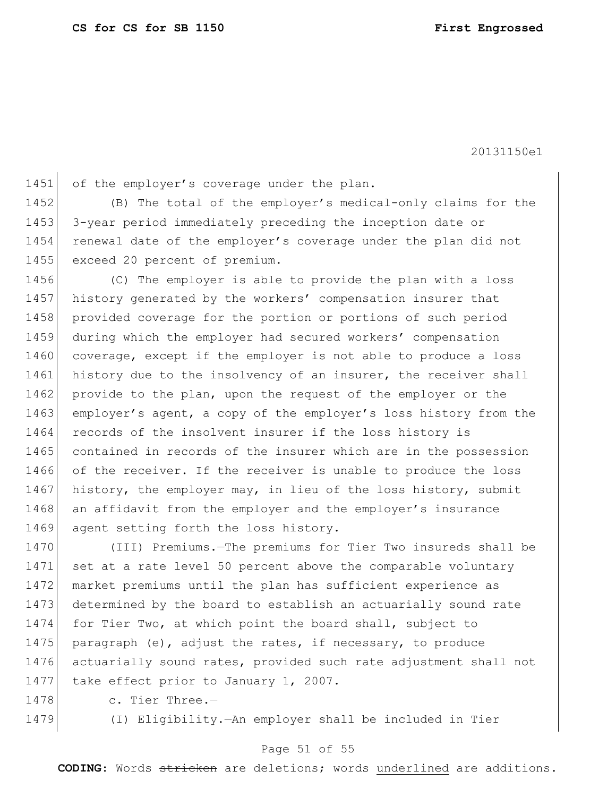1451 of the employer's coverage under the plan. 1452 (B) The total of the employer's medical-only claims for the

1453 3-year period immediately preceding the inception date or 1454 renewal date of the employer's coverage under the plan did not 1455 exceed 20 percent of premium.

1456 (C) The employer is able to provide the plan with a loss 1457 history generated by the workers' compensation insurer that 1458 provided coverage for the portion or portions of such period 1459 during which the employer had secured workers' compensation 1460 coverage, except if the employer is not able to produce a loss 1461 history due to the insolvency of an insurer, the receiver shall 1462 provide to the plan, upon the request of the employer or the 1463 employer's agent, a copy of the employer's loss history from the 1464 records of the insolvent insurer if the loss history is 1465 contained in records of the insurer which are in the possession 1466 of the receiver. If the receiver is unable to produce the loss 1467 history, the employer may, in lieu of the loss history, submit 1468 an affidavit from the employer and the employer's insurance 1469 agent setting forth the loss history.

 (III) Premiums.—The premiums for Tier Two insureds shall be 1471 set at a rate level 50 percent above the comparable voluntary market premiums until the plan has sufficient experience as determined by the board to establish an actuarially sound rate for Tier Two, at which point the board shall, subject to 1475 paragraph (e), adjust the rates, if necessary, to produce actuarially sound rates, provided such rate adjustment shall not 1477 take effect prior to January 1, 2007.

1478 c. Tier Three.-

1479 (I) Eligibility.—An employer shall be included in Tier

### Page 51 of 55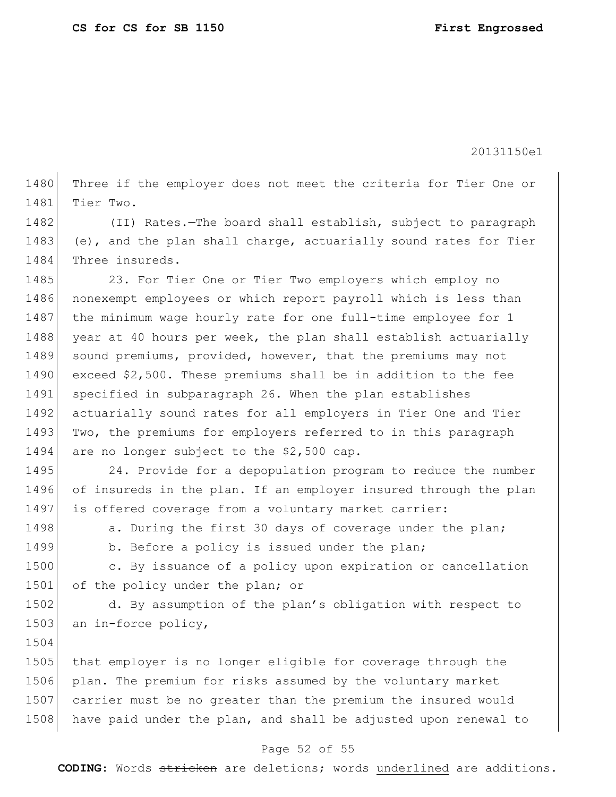1480 Three if the employer does not meet the criteria for Tier One or 1481 Tier Two.

1482 (II) Rates.—The board shall establish, subject to paragraph 1483 (e), and the plan shall charge, actuarially sound rates for Tier 1484 Three insureds.

1485 23. For Tier One or Tier Two employers which employ no 1486 nonexempt employees or which report payroll which is less than 1487 the minimum wage hourly rate for one full-time employee for 1 1488 year at 40 hours per week, the plan shall establish actuarially 1489 sound premiums, provided, however, that the premiums may not 1490 exceed \$2,500. These premiums shall be in addition to the fee 1491 specified in subparagraph 26. When the plan establishes 1492 actuarially sound rates for all employers in Tier One and Tier 1493 Two, the premiums for employers referred to in this paragraph 1494 are no longer subject to the \$2,500 cap.

1495 24. Provide for a depopulation program to reduce the number 1496 of insureds in the plan. If an employer insured through the plan 1497 is offered coverage from a voluntary market carrier:

1504

1498 a. During the first 30 days of coverage under the plan;

1499 b. Before a policy is issued under the plan;

1500 c. By issuance of a policy upon expiration or cancellation 1501 of the policy under the plan; or

1502 d. By assumption of the plan's obligation with respect to 1503 an in-force policy,

1505 that employer is no longer eligible for coverage through the 1506 plan. The premium for risks assumed by the voluntary market 1507 carrier must be no greater than the premium the insured would 1508 have paid under the plan, and shall be adjusted upon renewal to

### Page 52 of 55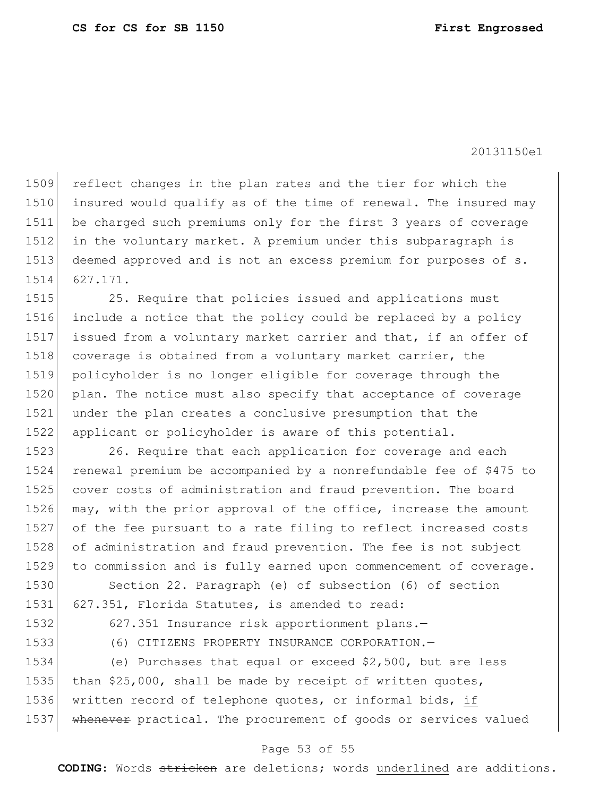reflect changes in the plan rates and the tier for which the insured would qualify as of the time of renewal. The insured may be charged such premiums only for the first 3 years of coverage in the voluntary market. A premium under this subparagraph is 1513 deemed approved and is not an excess premium for purposes of s. 1514 627.171.

1515 25. Require that policies issued and applications must 1516 include a notice that the policy could be replaced by a policy 1517 issued from a voluntary market carrier and that, if an offer of 1518 coverage is obtained from a voluntary market carrier, the 1519 policyholder is no longer eligible for coverage through the 1520 plan. The notice must also specify that acceptance of coverage 1521 under the plan creates a conclusive presumption that the 1522 applicant or policyholder is aware of this potential.

1523 26. Require that each application for coverage and each 1524 renewal premium be accompanied by a nonrefundable fee of \$475 to 1525 cover costs of administration and fraud prevention. The board 1526 may, with the prior approval of the office, increase the amount 1527 of the fee pursuant to a rate filing to reflect increased costs 1528 of administration and fraud prevention. The fee is not subject 1529 to commission and is fully earned upon commencement of coverage.

1530 Section 22. Paragraph (e) of subsection (6) of section 1531 627.351, Florida Statutes, is amended to read:

1532 627.351 Insurance risk apportionment plans.

1533 (6) CITIZENS PROPERTY INSURANCE CORPORATION.

1534 (e) Purchases that equal or exceed \$2,500, but are less 1535 than  $$25,000$ , shall be made by receipt of written quotes, 1536 written record of telephone quotes, or informal bids, if 1537 whenever practical. The procurement of goods or services valued

## Page 53 of 55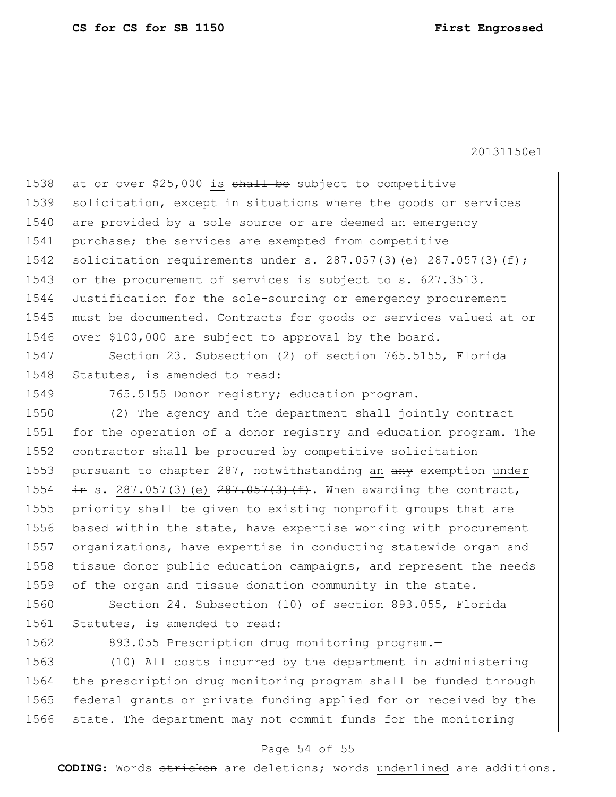1538 at or over \$25,000 is shall be subject to competitive 1539 solicitation, except in situations where the goods or services 1540 are provided by a sole source or are deemed an emergency 1541 purchase; the services are exempted from competitive 1542 solicitation requirements under s. 287.057(3)(e)  $287.057(3)$  (f); 1543 or the procurement of services is subject to s. 627.3513. 1544 Justification for the sole-sourcing or emergency procurement 1545 must be documented. Contracts for goods or services valued at or 1546 over \$100,000 are subject to approval by the board. 1547 Section 23. Subsection (2) of section 765.5155, Florida 1548 Statutes, is amended to read: 1549 765.5155 Donor registry; education program. 1550 (2) The agency and the department shall jointly contract 1551 for the operation of a donor registry and education program. The 1552 contractor shall be procured by competitive solicitation 1553 pursuant to chapter 287, notwithstanding an any exemption under 1554  $\pm$ **n** s. 287.057(3)(e) <del>287.057(3)(f)</del>. When awarding the contract, 1555 priority shall be given to existing nonprofit groups that are 1556 based within the state, have expertise working with procurement 1557 organizations, have expertise in conducting statewide organ and 1558 tissue donor public education campaigns, and represent the needs 1559 of the organ and tissue donation community in the state. 1560 Section 24. Subsection (10) of section 893.055, Florida 1561 Statutes, is amended to read:

1562 893.055 Prescription drug monitoring program.

 (10) All costs incurred by the department in administering the prescription drug monitoring program shall be funded through federal grants or private funding applied for or received by the 1566 state. The department may not commit funds for the monitoring

### Page 54 of 55